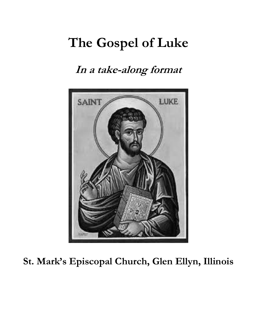# **The Gospel of Luke**

### **In a take-along format**



**St. Mark's Episcopal Church, Glen Ellyn, Illinois**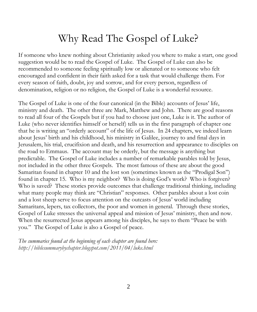### Why Read The Gospel of Luke?

If someone who knew nothing about Christianity asked you where to make a start, one good suggestion would be to read the Gospel of Luke. The Gospel of Luke can also be recommended to someone feeling spiritually low or alienated or to someone who felt encouraged and confident in their faith asked for a task that would challenge them. For every season of faith, doubt, joy and sorrow, and for every person, regardless of denomination, religion or no religion, the Gospel of Luke is a wonderful resource.

The Gospel of Luke is one of the four canonical (in the Bible) accounts of Jesus' life, ministry and death. The other three are Mark, Matthew and John. There are good reasons to read all four of the Gospels but if you had to choose just one, Luke is it. The author of Luke (who never identifies himself or herself) tells us in the first paragraph of chapter one that he is writing an "orderly account" of the life of Jesus. In 24 chapters, we indeed learn about Jesus' birth and his childhood, his ministry in Galilee, journey to and final days in Jerusalem, his trial, crucifixion and death, and his resurrection and appearance to disciples on the road to Emmaus. The account may be orderly, but the message is anything but predictable. The Gospel of Luke includes a number of remarkable parables told by Jesus, not included in the other three Gospels. The most famous of these are about the good Samaritan found in chapter 10 and the lost son (sometimes known as the "Prodigal Son") found in chapter 15. Who is my neighbor? Who is doing God's work? Who is forgiven? Who is saved? These stories provide outcomes that challenge traditional thinking, including what many people may think are "Christian" responses. Other parables about a lost coin and a lost sheep serve to focus attention on the outcasts of Jesus' world including Samaritans, lepers, tax collectors, the poor and women in general. Through these stories, Gospel of Luke stresses the universal appeal and mission of Jesus' ministry, then and now. When the resurrected Jesus appears among his disciples, he says to them "Peace be with you." The Gospel of Luke is also a Gospel of peace.

*The summaries found at the beginning of each chapter are found here: http://biblesummarybychapter.blogspot.com/2011/04/luke.html*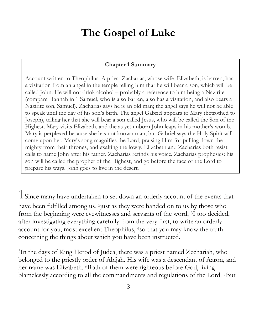## **The Gospel of Luke**

#### **Chapter 1 Summary**

Account written to Theophilus. A priest Zacharias, whose wife, Elizabeth, is barren, has a visitation from an angel in the temple telling him that he will bear a son, which will be called John. He will not drink alcohol – probably a reference to him being a Nazirite (compare Hannah in 1 Samuel, who is also barren, also has a visitation, and also bears a Nazirite son, Samuel). Zacharias says he is an old man; the angel says he will not be able to speak until the day of his son's birth. The angel Gabriel appears to Mary (betrothed to Joseph), telling her that she will bear a son called Jesus, who will be called the Son of the Highest. Mary visits Elizabeth, and the as yet unborn John leaps in his mother's womb. Mary is perplexed because she has not known man, but Gabriel says the Holy Spirit will come upon her. Mary's song magnifies the Lord, praising Him for pulling down the mighty from their thrones, and exalting the lowly. Elizabeth and Zacharias both resist calls to name John after his father. Zacharias refinds his voice. Zacharias prophesies: his son will be called the prophet of the Highest, and go before the face of the Lord to prepare his ways. John goes to live in the desert*.*

1Since many have undertaken to set down an orderly account of the events that have been fulfilled among us, <sup>2</sup>just as they were handed on to us by those who from the beginning were eyewitnesses and servants of the word, <sup>3</sup>I too decided, after investigating everything carefully from the very first, to write an orderly account for you, most excellent Theophilus, <sup>4</sup>so that you may know the truth concerning the things about which you have been instructed.

<sup>5</sup>In the days of King Herod of Judea, there was a priest named Zechariah, who belonged to the priestly order of Abijah. His wife was a descendant of Aaron, and her name was Elizabeth. **Both of them were righteous before God**, living blamelessly according to all the commandments and regulations of the Lord. <sup>7</sup>But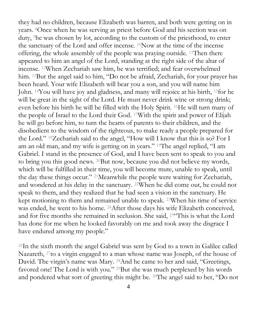they had no children, because Elizabeth was barren, and both were getting on in years. <sup>8</sup>Once when he was serving as priest before God and his section was on duty, <sup>9</sup>he was chosen by lot, according to the custom of the priesthood, to enter the sanctuary of the Lord and offer incense. <sup>10</sup>Now at the time of the incense offering, the whole assembly of the people was praying outside. <sup>11</sup>Then there appeared to him an angel of the Lord, standing at the right side of the altar of incense. <sup>12</sup>When Zechariah saw him, he was terrified; and fear overwhelmed him. <sup>13</sup>But the angel said to him, "Do not be afraid, Zechariah, for your prayer has been heard. Your wife Elizabeth will bear you a son, and you will name him John. <sup>14</sup>You will have joy and gladness, and many will rejoice at his birth, <sup>15</sup>for he will be great in the sight of the Lord. He must never drink wine or strong drink; even before his birth he will be filled with the Holy Spirit. <sup>16</sup>He will turn many of the people of Israel to the Lord their God. <sup>17</sup>With the spirit and power of Elijah he will go before him, to turn the hearts of parents to their children, and the disobedient to the wisdom of the righteous, to make ready a people prepared for the Lord." <sup>18</sup>Zechariah said to the angel, "How will I know that this is so? For I am an old man, and my wife is getting on in years." <sup>19</sup>The angel replied, "I am Gabriel. I stand in the presence of God, and I have been sent to speak to you and to bring you this good news. <sup>20</sup>But now, because you did not believe my words, which will be fulfilled in their time, you will become mute, unable to speak, until the day these things occur." <sup>21</sup>Meanwhile the people were waiting for Zechariah, and wondered at his delay in the sanctuary. <sup>22</sup>When he did come out, he could not speak to them, and they realized that he had seen a vision in the sanctuary. He kept motioning to them and remained unable to speak. <sup>23</sup>When his time of service was ended, he went to his home. <sup>24</sup>After those days his wife Elizabeth conceived, and for five months she remained in seclusion. She said, <sup>25</sup>"This is what the Lord has done for me when he looked favorably on me and took away the disgrace I have endured among my people."

<sup>26</sup>In the sixth month the angel Gabriel was sent by God to a town in Galilee called Nazareth, <sup>27</sup> to a virgin engaged to a man whose name was Joseph, of the house of David. The virgin's name was Mary. <sup>28</sup>And he came to her and said, "Greetings, favored one! The Lord is with you." <sup>29</sup>But she was much perplexed by his words and pondered what sort of greeting this might be. <sup>30</sup>The angel said to her, "Do not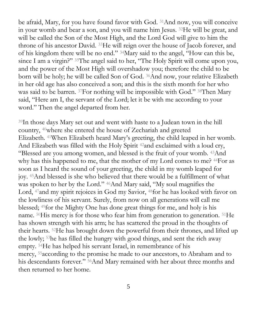be afraid, Mary, for you have found favor with God. <sup>31</sup>And now, you will conceive in your womb and bear a son, and you will name him Jesus. <sup>32</sup>He will be great, and will be called the Son of the Most High, and the Lord God will give to him the throne of his ancestor David. <sup>33</sup>He will reign over the house of Jacob forever, and of his kingdom there will be no end." <sup>34</sup>Mary said to the angel, "How can this be, since I am a virgin?" <sup>35</sup>The angel said to her, "The Holy Spirit will come upon you, and the power of the Most High will overshadow you; therefore the child to be born will be holy; he will be called Son of God. <sup>36</sup>And now, your relative Elizabeth in her old age has also conceived a son; and this is the sixth month for her who was said to be barren. <sup>37</sup>For nothing will be impossible with God." <sup>38</sup>Then Mary said, "Here am I, the servant of the Lord; let it be with me according to your word." Then the angel departed from her.

<sup>39</sup>In those days Mary set out and went with haste to a Judean town in the hill country, <sup>40</sup>where she entered the house of Zechariah and greeted Elizabeth. <sup>41</sup>When Elizabeth heard Mary's greeting, the child leaped in her womb. And Elizabeth was filled with the Holy Spirit <sup>42</sup>and exclaimed with a loud cry, "Blessed are you among women, and blessed is the fruit of your womb. <sup>43</sup>And why has this happened to me, that the mother of my Lord comes to me? <sup>44</sup>For as soon as I heard the sound of your greeting, the child in my womb leaped for joy. <sup>45</sup>And blessed is she who believed that there would be a fulfillment of what was spoken to her by the Lord." <sup>46</sup>And Mary said, "My soul magnifies the Lord, <sup>47</sup>and my spirit rejoices in God my Savior, <sup>48</sup>for he has looked with favor on the lowliness of his servant. Surely, from now on all generations will call me blessed; <sup>49</sup>for the Mighty One has done great things for me, and holy is his name. <sup>50</sup>His mercy is for those who fear him from generation to generation. <sup>51</sup>He has shown strength with his arm; he has scattered the proud in the thoughts of their hearts. <sup>52</sup>He has brought down the powerful from their thrones, and lifted up the lowly; <sup>53</sup>he has filled the hungry with good things, and sent the rich away empty. <sup>54</sup>He has helped his servant Israel, in remembrance of his mercy, <sup>55</sup>according to the promise he made to our ancestors, to Abraham and to his descendants forever." <sup>56</sup>And Mary remained with her about three months and then returned to her home.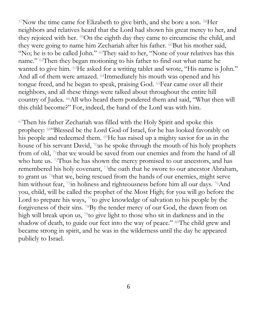<sup>57</sup>Now the time came for Elizabeth to give birth, and she bore a son. <sup>58</sup>Her neighbors and relatives heard that the Lord had shown his great mercy to her, and they rejoiced with her. <sup>59</sup>On the eighth day they came to circumcise the child, and they were going to name him Zechariah after his father. <sup>60</sup>But his mother said, "No; he is to be called John." <sup>61</sup>They said to her, "None of your relatives has this name." <sup>62</sup>Then they began motioning to his father to find out what name he wanted to give him. <sup>63</sup>He asked for a writing tablet and wrote, "His name is John." And all of them were amazed. <sup>64</sup>Immediately his mouth was opened and his tongue freed, and he began to speak, praising God. <sup>65</sup>Fear came over all their neighbors, and all these things were talked about throughout the entire hill country of Judea. <sup>66</sup>All who heard them pondered them and said, "What then will this child become?" For, indeed, the hand of the Lord was with him.

<sup>67</sup>Then his father Zechariah was filled with the Holy Spirit and spoke this prophecy: <sup>68</sup>"Blessed be the Lord God of Israel, for he has looked favorably on his people and redeemed them. <sup>69</sup>He has raised up a mighty savior for us in the house of his servant David, <sup>70</sup>as he spoke through the mouth of his holy prophets from of old, <sup>71</sup>that we would be saved from our enemies and from the hand of all who hate us. <sup>72</sup>Thus he has shown the mercy promised to our ancestors, and has remembered his holy covenant, <sup>73</sup>the oath that he swore to our ancestor Abraham, to grant us <sup>74</sup>that we, being rescued from the hands of our enemies, might serve him without fear, <sup>75</sup>in holiness and righteousness before him all our days. <sup>76</sup>And you, child, will be called the prophet of the Most High; for you will go before the Lord to prepare his ways,  $\frac{7}{10}$  give knowledge of salvation to his people by the forgiveness of their sins. <sup>78</sup>By the tender mercy of our God, the dawn from on high will break upon us, <sup>79</sup>to give light to those who sit in darkness and in the shadow of death, to guide our feet into the way of peace." <sup>80</sup>The child grew and became strong in spirit, and he was in the wilderness until the day he appeared publicly to Israel.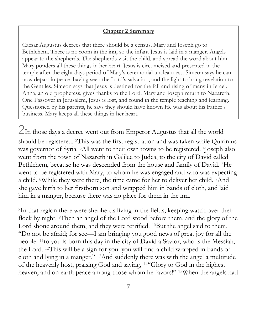#### **Chapter 2 Summary**

Caesar Augustus decrees that there should be a census. Mary and Joseph go to Bethlehem. There is no room in the inn, so the infant Jesus is laid in a manger. Angels appear to the shepherds. The shepherds visit the child, and spread the word about him. Mary ponders all these things in her heart. Jesus is circumcised and presented in the temple after the eight days period of Mary's ceremonial uncleanness. Simeon says he can now depart in peace, having seen the Lord's salvation, and the light to bring revelation to the Gentiles. Simeon says that Jesus is destined for the fall and rising of many in Israel. Anna, an old prophetess, gives thanks to the Lord. Mary and Joseph return to Nazareth. One Passover in Jerusalem, Jesus is lost, and found in the temple teaching and learning. Questioned by his parents, he says they should have known He was about his Father's business. Mary keeps all these things in her heart.

 $2$ In those days a decree went out from Emperor Augustus that all the world should be registered. <sup>2</sup>This was the first registration and was taken while Quirinius was governor of Syria. <sup>3</sup>All went to their own towns to be registered. <sup>4</sup>Joseph also went from the town of Nazareth in Galilee to Judea, to the city of David called Bethlehem, because he was descended from the house and family of David. <sup>5</sup>He went to be registered with Mary, to whom he was engaged and who was expecting a child. <sup>6</sup>While they were there, the time came for her to deliver her child. <sup>7</sup>And she gave birth to her firstborn son and wrapped him in bands of cloth, and laid him in a manger, because there was no place for them in the inn.

<sup>8</sup>In that region there were shepherds living in the fields, keeping watch over their flock by night. Then an angel of the Lord stood before them, and the glory of the Lord shone around them, and they were terrified. <sup>10</sup>But the angel said to them, "Do not be afraid; for see—I am bringing you good news of great joy for all the people: <sup>11</sup>to you is born this day in the city of David a Savior, who is the Messiah, the Lord. <sup>12</sup>This will be a sign for you: you will find a child wrapped in bands of cloth and lying in a manger." <sup>13</sup>And suddenly there was with the angel a multitude of the heavenly host, praising God and saying, <sup>14</sup>"Glory to God in the highest heaven, and on earth peace among those whom he favors!" <sup>15</sup>When the angels had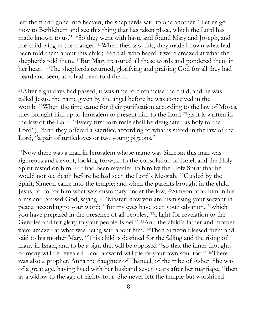left them and gone into heaven, the shepherds said to one another, "Let us go now to Bethlehem and see this thing that has taken place, which the Lord has made known to us." <sup>16</sup>So they went with haste and found Mary and Joseph, and the child lying in the manger. <sup>17</sup>When they saw this, they made known what had been told them about this child; <sup>18</sup>and all who heard it were amazed at what the shepherds told them. <sup>19</sup>But Mary treasured all these words and pondered them in her heart. <sup>20</sup>The shepherds returned, glorifying and praising God for all they had heard and seen, as it had been told them.

<sup>21</sup>After eight days had passed, it was time to circumcise the child; and he was called Jesus, the name given by the angel before he was conceived in the womb. <sup>22</sup>When the time came for their purification according to the law of Moses, they brought him up to Jerusalem to present him to the Lord <sup>23</sup>(as it is written in the law of the Lord, "Every firstborn male shall be designated as holy to the Lord"), <sup>24</sup>and they offered a sacrifice according to what is stated in the law of the Lord, "a pair of turtledoves or two young pigeons."

<sup>25</sup>Now there was a man in Jerusalem whose name was Simeon; this man was righteous and devout, looking forward to the consolation of Israel, and the Holy Spirit rested on him. <sup>26</sup>It had been revealed to him by the Holy Spirit that he would not see death before he had seen the Lord's Messiah. <sup>27</sup>Guided by the Spirit, Simeon came into the temple; and when the parents brought in the child Jesus, to do for him what was customary under the law, <sup>28</sup>Simeon took him in his arms and praised God, saying, <sup>29</sup>"Master, now you are dismissing your servant in peace, according to your word; <sup>30</sup>for my eyes have seen your salvation, <sup>31</sup>which you have prepared in the presence of all peoples, <sup>32</sup>a light for revelation to the Gentiles and for glory to your people Israel." <sup>33</sup>And the child's father and mother were amazed at what was being said about him. <sup>34</sup>Then Simeon blessed them and said to his mother Mary, "This child is destined for the falling and the rising of many in Israel, and to be a sign that will be opposed <sup>35</sup>so that the inner thoughts of many will be revealed—and a sword will pierce your own soul too." <sup>36</sup>There was also a prophet, Anna the daughter of Phanuel, of the tribe of Asher. She was of a great age, having lived with her husband seven years after her marriage, <sup>37</sup>then as a widow to the age of eighty-four. She never left the temple but worshiped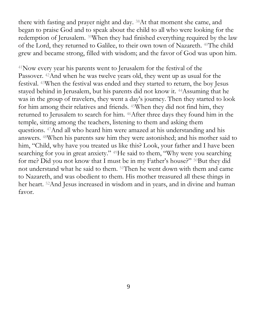there with fasting and prayer night and day. <sup>38</sup>At that moment she came, and began to praise God and to speak about the child to all who were looking for the redemption of Jerusalem. <sup>39</sup>When they had finished everything required by the law of the Lord, they returned to Galilee, to their own town of Nazareth. <sup>40</sup>The child grew and became strong, filled with wisdom; and the favor of God was upon him.

<sup>41</sup>Now every year his parents went to Jerusalem for the festival of the Passover. <sup>42</sup>And when he was twelve years old, they went up as usual for the festival. <sup>43</sup>When the festival was ended and they started to return, the boy Jesus stayed behind in Jerusalem, but his parents did not know it. <sup>44</sup>Assuming that he was in the group of travelers, they went a day's journey. Then they started to look for him among their relatives and friends. <sup>45</sup>When they did not find him, they returned to Jerusalem to search for him. <sup>46</sup>After three days they found him in the temple, sitting among the teachers, listening to them and asking them questions. <sup>47</sup>And all who heard him were amazed at his understanding and his answers. <sup>48</sup>When his parents saw him they were astonished; and his mother said to him, "Child, why have you treated us like this? Look, your father and I have been searching for you in great anxiety." <sup>49</sup>He said to them, "Why were you searching for me? Did you not know that I must be in my Father's house?" <sup>50</sup>But they did not understand what he said to them. <sup>51</sup>Then he went down with them and came to Nazareth, and was obedient to them. His mother treasured all these things in her heart. <sup>52</sup>And Jesus increased in wisdom and in years, and in divine and human favor.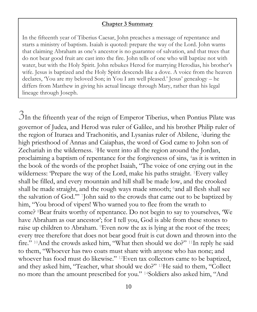#### **Chapter 3 Summary**

In the fifteenth year of Tiberius Caesar, John preaches a message of repentance and starts a ministry of baptism. Isaiah is quoted: prepare the way of the Lord. John warns that claiming Abraham as one's ancestor is no guarantee of salvation, and that trees that do not bear good fruit are cast into the fire. John tells of one who will baptize not with water, but with the Holy Spirit. John rebukes Herod for marrying Herodias, his brother's wife. Jesus is baptized and the Holy Spirit descends like a dove. A voice from the heaven declares, 'You are my beloved Son; in You I am well pleased.' Jesus' genealogy – he differs from Matthew in giving his actual lineage through Mary, rather than his legal lineage through Joseph.

3In the fifteenth year of the reign of Emperor Tiberius, when Pontius Pilate was governor of Judea, and Herod was ruler of Galilee, and his brother Philip ruler of the region of Ituraea and Trachonitis, and Lysanias ruler of Abilene, <sup>2</sup>during the high priesthood of Annas and Caiaphas, the word of God came to John son of Zechariah in the wilderness. <sup>3</sup>He went into all the region around the Jordan, proclaiming a baptism of repentance for the forgiveness of sins, <sup>4</sup>as it is written in the book of the words of the prophet Isaiah, "The voice of one crying out in the wilderness: 'Prepare the way of the Lord, make his paths straight. <sup>5</sup>Every valley shall be filled, and every mountain and hill shall be made low, and the crooked shall be made straight, and the rough ways made smooth; <sup>6</sup>and all flesh shall see the salvation of God.'" <sup>7</sup>John said to the crowds that came out to be baptized by him, "You brood of vipers! Who warned you to flee from the wrath to come? <sup>8</sup>Bear fruits worthy of repentance. Do not begin to say to yourselves, 'We have Abraham as our ancestor'; for I tell you, God is able from these stones to raise up children to Abraham. <sup>9</sup>Even now the ax is lying at the root of the trees; every tree therefore that does not bear good fruit is cut down and thrown into the fire." <sup>10</sup>And the crowds asked him, "What then should we do?" <sup>11</sup>In reply he said to them, "Whoever has two coats must share with anyone who has none; and whoever has food must do likewise." <sup>12</sup>Even tax collectors came to be baptized, and they asked him, "Teacher, what should we do?" <sup>13</sup>He said to them, "Collect no more than the amount prescribed for you." <sup>14</sup>Soldiers also asked him, "And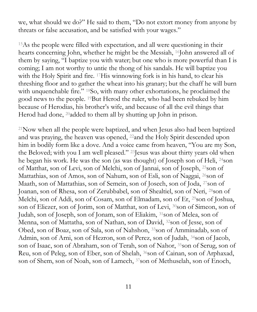we, what should we do?" He said to them, "Do not extort money from anyone by threats or false accusation, and be satisfied with your wages."

<sup>15</sup>As the people were filled with expectation, and all were questioning in their hearts concerning John, whether he might be the Messiah, <sup>16</sup>John answered all of them by saying, "I baptize you with water; but one who is more powerful than I is coming; I am not worthy to untie the thong of his sandals. He will baptize you with the Holy Spirit and fire. <sup>17</sup>His winnowing fork is in his hand, to clear his threshing floor and to gather the wheat into his granary; but the chaff he will burn with unquenchable fire." <sup>18</sup>So, with many other exhortations, he proclaimed the good news to the people. <sup>19</sup>But Herod the ruler, who had been rebuked by him because of Herodias, his brother's wife, and because of all the evil things that Herod had done, <sup>20</sup>added to them all by shutting up John in prison.

<sup>21</sup>Now when all the people were baptized, and when Jesus also had been baptized and was praying, the heaven was opened, <sup>22</sup>and the Holy Spirit descended upon him in bodily form like a dove. And a voice came from heaven, "You are my Son, the Beloved; with you I am well pleased." <sup>23</sup>Jesus was about thirty years old when he began his work. He was the son (as was thought) of Joseph son of Heli, <sup>24</sup>son of Matthat, son of Levi, son of Melchi, son of Jannai, son of Joseph, <sup>25</sup>son of Mattathias, son of Amos, son of Nahum, son of Esli, son of Naggai, <sup>26</sup>son of Maath, son of Mattathias, son of Semein, son of Josech, son of Joda, <sup>27</sup>son of Joanan, son of Rhesa, son of Zerubbabel, son of Shealtiel, son of Neri, <sup>28</sup>son of Melchi, son of Addi, son of Cosam, son of Elmadam, son of Er, <sup>29</sup>son of Joshua, son of Eliezer, son of Jorim, son of Matthat, son of Levi, <sup>30</sup>son of Simeon, son of Judah, son of Joseph, son of Jonam, son of Eliakim, <sup>31</sup>son of Melea, son of Menna, son of Mattatha, son of Nathan, son of David, <sup>32</sup>son of Jesse, son of Obed, son of Boaz, son of Sala, son of Nahshon, <sup>33</sup>son of Amminadab, son of Admin, son of Arni, son of Hezron, son of Perez, son of Judah, <sup>34</sup>son of Jacob, son of Isaac, son of Abraham, son of Terah, son of Nahor, <sup>35</sup>son of Serug, son of Reu, son of Peleg, son of Eber, son of Shelah, <sup>36</sup>son of Cainan, son of Arphaxad, son of Shem, son of Noah, son of Lamech, <sup>37</sup>son of Methuselah, son of Enoch,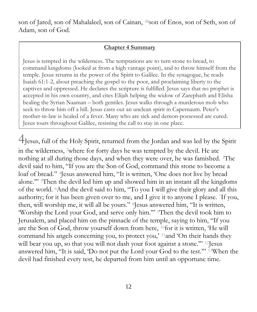son of Jared, son of Mahalaleel, son of Cainan, <sup>38</sup>son of Enos, son of Seth, son of Adam, son of God.

#### **Chapter 4 Summary**

Jesus is tempted in the wilderness. The temptations are to turn stone to bread, to command kingdoms (looked at from a high vantage point), and to throw himself from the temple. Jesus returns in the power of the Spirit to Galilee. In the synagogue, he reads Isaiah 61:1-2, about preaching the gospel to the poor, and proclaiming liberty to the captives and oppressed. He declares the scripture is fulfilled. Jesus says that no prophet is accepted in his own country, and cites Elijah helping the widow of Zarephath and Elisha healing the Syrian Naaman – both gentiles. Jesus walks through a murderous mob who seek to throw him off a hill. Jesus casts out an unclean spirit in Capernaum. Peter's mother-in-law is healed of a fever. Many who are sick and demon-possessed are cured. Jesus tours throughout Galilee, resisting the call to stay in one place.

4Jesus, full of the Holy Spirit, returned from the Jordan and was led by the Spirit in the wilderness, <sup>2</sup>where for forty days he was tempted by the devil. He ate nothing at all during those days, and when they were over, he was famished. <sup>3</sup>The devil said to him, "If you are the Son of God, command this stone to become a loaf of bread." <sup>4</sup>Jesus answered him, "It is written, 'One does not live by bread alone.'" <sup>5</sup>Then the devil led him up and showed him in an instant all the kingdoms of the world. <sup>6</sup>And the devil said to him, "To you I will give their glory and all this authority; for it has been given over to me, and I give it to anyone I please. <sup>7</sup>If you, then, will worship me, it will all be yours." <sup>8</sup>Jesus answered him, "It is written, 'Worship the Lord your God, and serve only him.'" <sup>9</sup>Then the devil took him to Jerusalem, and placed him on the pinnacle of the temple, saying to him, "If you are the Son of God, throw yourself down from here, <sup>10</sup>for it is written, 'He will command his angels concerning you, to protect you,' <sup>11</sup>and 'On their hands they will bear you up, so that you will not dash your foot against a stone." <sup>12</sup> Jesus answered him, "It is said, 'Do not put the Lord your God to the test.'" <sup>13</sup>When the devil had finished every test, he departed from him until an opportune time.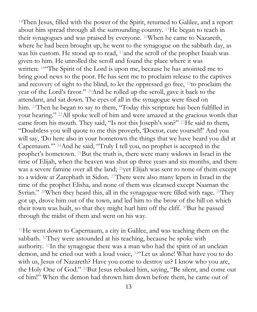<sup>14</sup>Then Jesus, filled with the power of the Spirit, returned to Galilee, and a report about him spread through all the surrounding country. <sup>15</sup>He began to teach in their synagogues and was praised by everyone. <sup>16</sup>When he came to Nazareth, where he had been brought up, he went to the synagogue on the sabbath day, as was his custom. He stood up to read, <sup>17</sup>and the scroll of the prophet Isaiah was given to him. He unrolled the scroll and found the place where it was written: <sup>18"</sup>The Spirit of the Lord is upon me, because he has anointed me to bring good news to the poor. He has sent me to proclaim release to the captives and recovery of sight to the blind, to let the oppressed go free, <sup>19</sup>to proclaim the year of the Lord's favor." <sup>20</sup>And he rolled up the scroll, gave it back to the attendant, and sat down. The eyes of all in the synagogue were fixed on him. <sup>21</sup>Then he began to say to them, "Today this scripture has been fulfilled in your hearing." <sup>22</sup>All spoke well of him and were amazed at the gracious words that came from his mouth. They said, "Is not this Joseph's son?" <sup>23</sup>He said to them, "Doubtless you will quote to me this proverb, 'Doctor, cure yourself!' And you will say, 'Do here also in your hometown the things that we have heard you did at Capernaum.'" <sup>24</sup>And he said, "Truly I tell you, no prophet is accepted in the prophet's hometown. <sup>25</sup>But the truth is, there were many widows in Israel in the time of Elijah, when the heaven was shut up three years and six months, and there was a severe famine over all the land; <sup>26</sup>yet Elijah was sent to none of them except to a widow at Zarephath in Sidon. <sup>27</sup>There were also many lepers in Israel in the time of the prophet Elisha, and none of them was cleansed except Naaman the Syrian." <sup>28</sup>When they heard this, all in the synagogue were filled with rage. <sup>29</sup>They got up, drove him out of the town, and led him to the brow of the hill on which their town was built, so that they might hurl him off the cliff. <sup>30</sup>But he passed through the midst of them and went on his way.

<sup>31</sup>He went down to Capernaum, a city in Galilee, and was teaching them on the sabbath. <sup>32</sup>They were astounded at his teaching, because he spoke with authority. <sup>33</sup>In the synagogue there was a man who had the spirit of an unclean demon, and he cried out with a loud voice, <sup>34</sup>"Let us alone! What have you to do with us, Jesus of Nazareth? Have you come to destroy us? I know who you are, the Holy One of God." <sup>35</sup>But Jesus rebuked him, saying, "Be silent, and come out of him!" When the demon had thrown him down before them, he came out of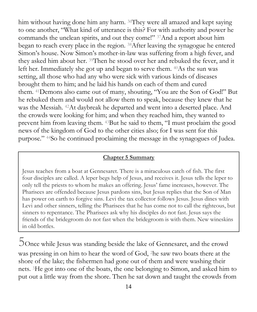him without having done him any harm. <sup>36</sup>They were all amazed and kept saying to one another, "What kind of utterance is this? For with authority and power he commands the unclean spirits, and out they come!" <sup>37</sup>And a report about him began to reach every place in the region. <sup>38</sup>After leaving the synagogue he entered Simon's house. Now Simon's mother-in-law was suffering from a high fever, and they asked him about her. <sup>39</sup>Then he stood over her and rebuked the fever, and it left her. Immediately she got up and began to serve them. <sup>40</sup>As the sun was setting, all those who had any who were sick with various kinds of diseases brought them to him; and he laid his hands on each of them and cured them. <sup>41</sup>Demons also came out of many, shouting, "You are the Son of God!" But he rebuked them and would not allow them to speak, because they knew that he was the Messiah. <sup>42</sup>At daybreak he departed and went into a deserted place. And the crowds were looking for him; and when they reached him, they wanted to prevent him from leaving them. <sup>43</sup>But he said to them, "I must proclaim the good news of the kingdom of God to the other cities also; for I was sent for this purpose." <sup>44</sup>So he continued proclaiming the message in the synagogues of Judea.

#### **Chapter 5 Summary**

Jesus teaches from a boat at Gennesaret. There is a miraculous catch of fish. The first four disciples are called. A leper begs help of Jesus, and receives it. Jesus tells the leper to only tell the priests to whom he makes an offering. Jesus' fame increases, however. The Pharisees are offended because Jesus pardons sins, but Jesus replies that the Son of Man has power on earth to forgive sins. Levi the tax collector follows Jesus. Jesus dines with Levi and other sinners, telling the Pharisees that he has come not to call the righteous, but sinners to repentance. The Pharisees ask why his disciples do not fast. Jesus says the friends of the bridegroom do not fast when the bridegroom is with them. New wineskins in old bottles.

5Once while Jesus was standing beside the lake of Gennesaret, and the crowd was pressing in on him to hear the word of God, <sup>2</sup>he saw two boats there at the shore of the lake; the fishermen had gone out of them and were washing their nets. <sup>3</sup>He got into one of the boats, the one belonging to Simon, and asked him to put out a little way from the shore. Then he sat down and taught the crowds from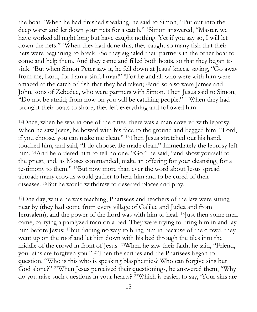the boat. <sup>4</sup>When he had finished speaking, he said to Simon, "Put out into the deep water and let down your nets for a catch." <sup>5</sup>Simon answered, "Master, we have worked all night long but have caught nothing. Yet if you say so, I will let down the nets." <sup>6</sup>When they had done this, they caught so many fish that their nets were beginning to break. <sup>7</sup>So they signaled their partners in the other boat to come and help them. And they came and filled both boats, so that they began to sink. <sup>8</sup>But when Simon Peter saw it, he fell down at Jesus' knees, saying, "Go away from me, Lord, for I am a sinful man!" <sup>9</sup>For he and all who were with him were amazed at the catch of fish that they had taken; <sup>10</sup>and so also were James and John, sons of Zebedee, who were partners with Simon. Then Jesus said to Simon, "Do not be afraid; from now on you will be catching people." <sup>11</sup>When they had brought their boats to shore, they left everything and followed him.

<sup>12</sup>Once, when he was in one of the cities, there was a man covered with leprosy. When he saw Jesus, he bowed with his face to the ground and begged him, "Lord, if you choose, you can make me clean." <sup>13</sup>Then Jesus stretched out his hand, touched him, and said, "I do choose. Be made clean." Immediately the leprosy left him. <sup>14</sup>And he ordered him to tell no one. "Go," he said, "and show yourself to the priest, and, as Moses commanded, make an offering for your cleansing, for a testimony to them." <sup>15</sup>But now more than ever the word about Jesus spread abroad; many crowds would gather to hear him and to be cured of their diseases. <sup>16</sup>But he would withdraw to deserted places and pray.

<sup>17</sup>One day, while he was teaching, Pharisees and teachers of the law were sitting near by (they had come from every village of Galilee and Judea and from Jerusalem); and the power of the Lord was with him to heal. <sup>18</sup>Just then some men came, carrying a paralyzed man on a bed. They were trying to bring him in and lay him before Jesus; <sup>19</sup>but finding no way to bring him in because of the crowd, they went up on the roof and let him down with his bed through the tiles into the middle of the crowd in front of Jesus. <sup>20</sup>When he saw their faith, he said, "Friend, your sins are forgiven you." <sup>21</sup>Then the scribes and the Pharisees began to question, "Who is this who is speaking blasphemies? Who can forgive sins but God alone?" <sup>22</sup>When Jesus perceived their questionings, he answered them, "Why do you raise such questions in your hearts? <sup>23</sup>Which is easier, to say, 'Your sins are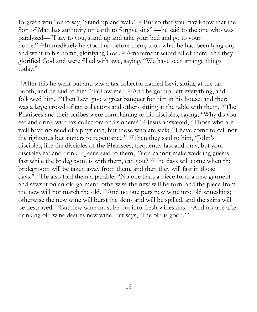forgiven you,' or to say, 'Stand up and walk'? <sup>24</sup>But so that you may know that the Son of Man has authority on earth to forgive sins" —he said to the one who was paralyzed—"I say to you, stand up and take your bed and go to your home." <sup>25</sup>Immediately he stood up before them, took what he had been lying on, and went to his home, glorifying God. <sup>26</sup>Amazement seized all of them, and they glorified God and were filled with awe, saying, "We have seen strange things today."

<sup>27</sup>After this he went out and saw a tax collector named Levi, sitting at the tax booth; and he said to him, "Follow me." <sup>28</sup>And he got up, left everything, and followed him. <sup>29</sup>Then Levi gave a great banquet for him in his house; and there was a large crowd of tax collectors and others sitting at the table with them. 30The Pharisees and their scribes were complaining to his disciples, saying, "Why do you eat and drink with tax collectors and sinners?" <sup>31</sup>Jesus answered, "Those who are well have no need of a physician, but those who are sick; <sup>32</sup>I have come to call not the righteous but sinners to repentance." <sup>33</sup>Then they said to him, "John's disciples, like the disciples of the Pharisees, frequently fast and pray, but your disciples eat and drink. <sup>34</sup>Jesus said to them, "You cannot make wedding guests fast while the bridegroom is with them, can you? <sup>35</sup>The days will come when the bridegroom will be taken away from them, and then they will fast in those days." <sup>36</sup>He also told them a parable: "No one tears a piece from a new garment and sews it on an old garment; otherwise the new will be torn, and the piece from the new will not match the old. <sup>37</sup>And no one puts new wine into old wineskins; otherwise the new wine will burst the skins and will be spilled, and the skins will be destroyed. <sup>38</sup>But new wine must be put into fresh wineskins. <sup>39</sup>And no one after drinking old wine desires new wine, but says, 'The old is good."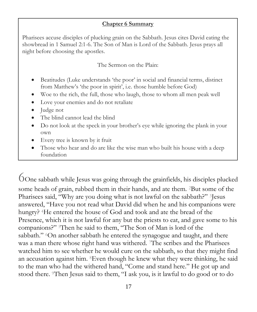#### **Chapter 6 Summary**

Pharisees accuse disciples of plucking grain on the Sabbath. Jesus cites David eating the showbread in 1 Samuel 2:1-6. The Son of Man is Lord of the Sabbath. Jesus prays all night before choosing the apostles.

The Sermon on the Plain:

- Beatitudes (Luke understands 'the poor' in social and financial terms, distinct from Matthew's 'the poor in spirit', i.e. those humble before God)
- Woe to the rich, the full, those who laugh, those to whom all men peak well
- Love your enemies and do not retaliate
- Judge not
- The blind cannot lead the blind
- Do not look at the speck in your brother's eye while ignoring the plank in your own
- Every tree is known by it fruit
- Those who hear and do are like the wise man who built his house with a deep foundation

6One sabbath while Jesus was going through the grainfields, his disciples plucked some heads of grain, rubbed them in their hands, and ate them. <sup>2</sup>But some of the Pharisees said, "Why are you doing what is not lawful on the sabbath?" <sup>3</sup>Jesus answered, "Have you not read what David did when he and his companions were hungry? <sup>4</sup>He entered the house of God and took and ate the bread of the Presence, which it is not lawful for any but the priests to eat, and gave some to his companions?" <sup>5</sup>Then he said to them, "The Son of Man is lord of the sabbath." <sup>6</sup>On another sabbath he entered the synagogue and taught, and there was a man there whose right hand was withered. <sup>7</sup>The scribes and the Pharisees watched him to see whether he would cure on the sabbath, so that they might find an accusation against him. <sup>8</sup>Even though he knew what they were thinking, he said to the man who had the withered hand, "Come and stand here." He got up and stood there. <sup>9</sup>Then Jesus said to them, "I ask you, is it lawful to do good or to do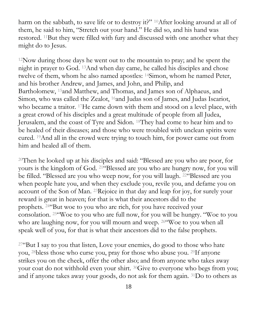harm on the sabbath, to save life or to destroy it?" <sup>10</sup>After looking around at all of them, he said to him, "Stretch out your hand." He did so, and his hand was restored. <sup>11</sup>But they were filled with fury and discussed with one another what they might do to Jesus.

<sup>12</sup>Now during those days he went out to the mountain to pray; and he spent the night in prayer to God. <sup>13</sup>And when day came, he called his disciples and chose twelve of them, whom he also named apostles: <sup>14</sup>Simon, whom he named Peter, and his brother Andrew, and James, and John, and Philip, and Bartholomew, <sup>15</sup>and Matthew, and Thomas, and James son of Alphaeus, and Simon, who was called the Zealot, <sup>16</sup>and Judas son of James, and Judas Iscariot, who became a traitor. <sup>17</sup>He came down with them and stood on a level place, with a great crowd of his disciples and a great multitude of people from all Judea, Jerusalem, and the coast of Tyre and Sidon. <sup>18</sup>They had come to hear him and to be healed of their diseases; and those who were troubled with unclean spirits were cured. <sup>19</sup>And all in the crowd were trying to touch him, for power came out from him and healed all of them.

<sup>20</sup>Then he looked up at his disciples and said: "Blessed are you who are poor, for yours is the kingdom of God. <sup>21</sup>"Blessed are you who are hungry now, for you will be filled. "Blessed are you who weep now, for you will laugh. <sup>22</sup>"Blessed are you when people hate you, and when they exclude you, revile you, and defame you on account of the Son of Man. <sup>23</sup>Rejoice in that day and leap for joy, for surely your reward is great in heaven; for that is what their ancestors did to the prophets. <sup>24</sup>"But woe to you who are rich, for you have received your consolation. <sup>25</sup>"Woe to you who are full now, for you will be hungry. "Woe to you who are laughing now, for you will mourn and weep. 26 Woe to you when all speak well of you, for that is what their ancestors did to the false prophets.

 $27\text{``But I say to you that listen, Love your enemies, do good to those who hate$ you, <sup>28</sup>bless those who curse you, pray for those who abuse you. <sup>29</sup>If anyone strikes you on the cheek, offer the other also; and from anyone who takes away your coat do not withhold even your shirt. <sup>30</sup>Give to everyone who begs from you; and if anyone takes away your goods, do not ask for them again. <sup>31</sup>Do to others as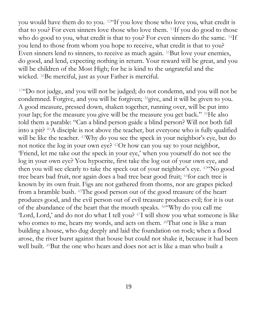you would have them do to you. <sup>32</sup>"If you love those who love you, what credit is that to you? For even sinners love those who love them. <sup>33</sup>If you do good to those who do good to you, what credit is that to you? For even sinners do the same. 34If you lend to those from whom you hope to receive, what credit is that to you? Even sinners lend to sinners, to receive as much again. <sup>35</sup>But love your enemies, do good, and lend, expecting nothing in return. Your reward will be great, and you will be children of the Most High; for he is kind to the ungrateful and the wicked. <sup>36</sup>Be merciful, just as your Father is merciful.

<sup>37</sup>"Do not judge, and you will not be judged; do not condemn, and you will not be condemned. Forgive, and you will be forgiven; <sup>38</sup>give, and it will be given to you. A good measure, pressed down, shaken together, running over, will be put into your lap; for the measure you give will be the measure you get back." <sup>39</sup>He also told them a parable: "Can a blind person guide a blind person? Will not both fall into a pit? <sup>40</sup>A disciple is not above the teacher, but everyone who is fully qualified will be like the teacher. <sup>41</sup>Why do you see the speck in your neighbor's eye, but do not notice the log in your own eye? <sup>42</sup>Or how can you say to your neighbor, 'Friend, let me take out the speck in your eye,' when you yourself do not see the log in your own eye? You hypocrite, first take the log out of your own eye, and then you will see clearly to take the speck out of your neighbor's eye. <sup>43</sup>"No good tree bears bad fruit, nor again does a bad tree bear good fruit; <sup>44</sup>for each tree is known by its own fruit. Figs are not gathered from thorns, nor are grapes picked from a bramble bush. <sup>45</sup>The good person out of the good treasure of the heart produces good, and the evil person out of evil treasure produces evil; for it is out of the abundance of the heart that the mouth speaks. <sup>46</sup>"Why do you call me 'Lord, Lord,' and do not do what I tell you? <sup>47</sup>I will show you what someone is like who comes to me, hears my words, and acts on them. <sup>48</sup>That one is like a man building a house, who dug deeply and laid the foundation on rock; when a flood arose, the river burst against that house but could not shake it, because it had been well built. <sup>49</sup>But the one who hears and does not act is like a man who built a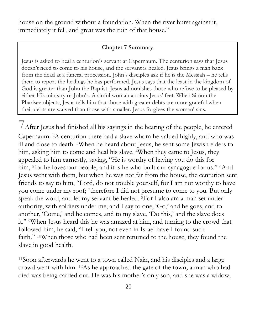house on the ground without a foundation. When the river burst against it, immediately it fell, and great was the ruin of that house."

#### **Chapter 7 Summary**

Jesus is asked to heal a centurion's servant at Capernaum. The centurion says that Jesus doesn't need to come to his house, and the servant is healed. Jesus brings a man back from the dead at a funeral procession. John's disciples ask if he is the Messiah – he tells them to report the healings he has performed. Jesus says that the least in the kingdom of God is greater than John the Baptist. Jesus admonishes those who refuse to be pleased by either His ministry or John's. A sinful woman anoints Jesus' feet. When Simon the Pharisee objects, Jesus tells him that those with greater debts are more grateful when their debts are waived than those with smaller. Jesus forgives the woman' sins.

7After Jesus had finished all his sayings in the hearing of the people, he entered Capernaum. <sup>2</sup>A centurion there had a slave whom he valued highly, and who was ill and close to death. <sup>3</sup>When he heard about Jesus, he sent some Jewish elders to him, asking him to come and heal his slave. <sup>4</sup>When they came to Jesus, they appealed to him earnestly, saying, "He is worthy of having you do this for him, <sup>5</sup>for he loves our people, and it is he who built our synagogue for us." <sup>6</sup>And Jesus went with them, but when he was not far from the house, the centurion sent friends to say to him, "Lord, do not trouble yourself, for I am not worthy to have you come under my roof; <sup>7</sup>therefore I did not presume to come to you. But only speak the word, and let my servant be healed. <sup>8</sup>For I also am a man set under authority, with soldiers under me; and I say to one, 'Go,' and he goes, and to another, 'Come,' and he comes, and to my slave, 'Do this,' and the slave does it." <sup>9</sup>When Jesus heard this he was amazed at him, and turning to the crowd that followed him, he said, "I tell you, not even in Israel have I found such faith." <sup>10</sup>When those who had been sent returned to the house, they found the slave in good health.

<sup>11</sup>Soon afterwards he went to a town called Nain, and his disciples and a large crowd went with him. <sup>12</sup>As he approached the gate of the town, a man who had died was being carried out. He was his mother's only son, and she was a widow;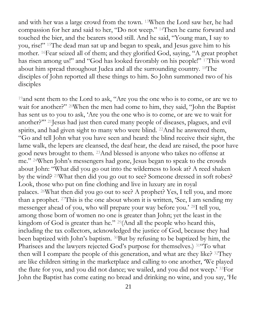and with her was a large crowd from the town. <sup>13</sup>When the Lord saw her, he had compassion for her and said to her, "Do not weep." <sup>14</sup>Then he came forward and touched the bier, and the bearers stood still. And he said, "Young man, I say to you, rise!" <sup>15</sup>The dead man sat up and began to speak, and Jesus gave him to his mother. <sup>16</sup>Fear seized all of them; and they glorified God, saying, "A great prophet has risen among us!" and "God has looked favorably on his people!" <sup>17</sup>This word about him spread throughout Judea and all the surrounding country. <sup>18</sup>The disciples of John reported all these things to him. So John summoned two of his disciples

<sup>19</sup> and sent them to the Lord to ask, "Are you the one who is to come, or are we to wait for another?" <sup>20</sup>When the men had come to him, they said, "John the Baptist has sent us to you to ask, 'Are you the one who is to come, or are we to wait for another?'" <sup>21</sup>Jesus had just then cured many people of diseases, plagues, and evil spirits, and had given sight to many who were blind. <sup>22</sup>And he answered them, "Go and tell John what you have seen and heard: the blind receive their sight, the lame walk, the lepers are cleansed, the deaf hear, the dead are raised, the poor have good news brought to them. <sup>23</sup>And blessed is anyone who takes no offense at me." <sup>24</sup>When John's messengers had gone, Jesus began to speak to the crowds about John: "What did you go out into the wilderness to look at? A reed shaken by the wind? <sup>25</sup>What then did you go out to see? Someone dressed in soft robes? Look, those who put on fine clothing and live in luxury are in royal palaces. <sup>26</sup>What then did you go out to see? A prophet? Yes, I tell you, and more than a prophet. <sup>27</sup>This is the one about whom it is written, 'See, I am sending my messenger ahead of you, who will prepare your way before you.' <sup>28</sup>I tell you, among those born of women no one is greater than John; yet the least in the kingdom of God is greater than he." <sup>29</sup>(And all the people who heard this, including the tax collectors, acknowledged the justice of God, because they had been baptized with John's baptism. <sup>30</sup>But by refusing to be baptized by him, the Pharisees and the lawyers rejected God's purpose for themselves.) <sup>31</sup>"To what then will I compare the people of this generation, and what are they like? <sup>32</sup>They are like children sitting in the marketplace and calling to one another, 'We played the flute for you, and you did not dance; we wailed, and you did not weep.' <sup>33</sup>For John the Baptist has come eating no bread and drinking no wine, and you say, 'He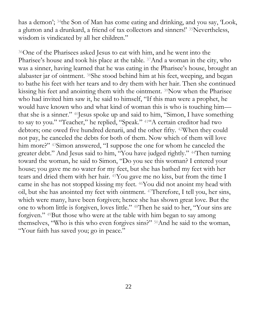has a demon'; <sup>34</sup>the Son of Man has come eating and drinking, and you say, 'Look, a glutton and a drunkard, a friend of tax collectors and sinners!' <sup>35</sup>Nevertheless, wisdom is vindicated by all her children."

<sup>36</sup>One of the Pharisees asked Jesus to eat with him, and he went into the Pharisee's house and took his place at the table. <sup>37</sup>And a woman in the city, who was a sinner, having learned that he was eating in the Pharisee's house, brought an alabaster jar of ointment. <sup>38</sup>She stood behind him at his feet, weeping, and began to bathe his feet with her tears and to dry them with her hair. Then she continued kissing his feet and anointing them with the ointment. <sup>39</sup>Now when the Pharisee who had invited him saw it, he said to himself, "If this man were a prophet, he would have known who and what kind of woman this is who is touching him that she is a sinner." <sup>40</sup>Jesus spoke up and said to him, "Simon, I have something to say to you." "Teacher," he replied, "Speak." <sup>41</sup>"A certain creditor had two debtors; one owed five hundred denarii, and the other fifty. <sup>42</sup>When they could not pay, he canceled the debts for both of them. Now which of them will love him more?" 43Simon answered, "I suppose the one for whom he canceled the greater debt." And Jesus said to him, "You have judged rightly." <sup>44</sup>Then turning toward the woman, he said to Simon, "Do you see this woman? I entered your house; you gave me no water for my feet, but she has bathed my feet with her tears and dried them with her hair. <sup>45</sup>You gave me no kiss, but from the time I came in she has not stopped kissing my feet. <sup>46</sup>You did not anoint my head with oil, but she has anointed my feet with ointment. <sup>47</sup>Therefore, I tell you, her sins, which were many, have been forgiven; hence she has shown great love. But the one to whom little is forgiven, loves little." <sup>48</sup>Then he said to her, "Your sins are forgiven." <sup>49</sup>But those who were at the table with him began to say among themselves, "Who is this who even forgives sins?" <sup>50</sup>And he said to the woman, "Your faith has saved you; go in peace."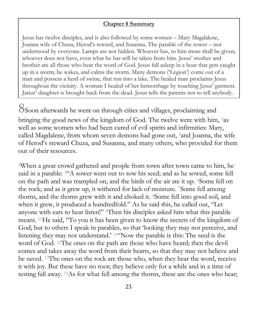#### **Chapter 8 Summary**

Jesus has twelve disciples, and is also followed by some women – Mary Magdalene, Joanna wife of Chuza, Herod's teward, and Susanna. The parable of the sower – not understood by everyone. Lamps are not hidden. Whoever has, to him more shall be given; whoever does not have, even what he has will be taken from him. Jesus' mother and brother are all those who hear the word of God. Jesus fall asleep in a boat that gets caught up in a storm; he wakes, and calms the storm. Many demons ('Legion') come out of a man and possess a herd of swine, that run into a lake. The healed man proclaims Jesus throughout the vicinity. A woman I healed of her hemorrhage by touching Jesus' garment. Jarius' daughter is brought back from the dead. Jesus tells the parents not to tell anybody.

8Soon afterwards he went on through cities and villages, proclaiming and bringing the good news of the kingdom of God. The twelve were with him, <sup>2</sup>as well as some women who had been cured of evil spirits and infirmities: Mary, called Magdalene, from whom seven demons had gone out, <sup>3</sup>and Joanna, the wife of Herod's steward Chuza, and Susanna, and many others, who provided for them out of their resources.

<sup>4</sup>When a great crowd gathered and people from town after town came to him, he said in a parable: <sup>5</sup>"A sower went out to sow his seed; and as he sowed, some fell on the path and was trampled on, and the birds of the air ate it up. <sup>6</sup>Some fell on the rock; and as it grew up, it withered for lack of moisture. <sup>7</sup>Some fell among thorns, and the thorns grew with it and choked it. <sup>8</sup>Some fell into good soil, and when it grew, it produced a hundredfold." As he said this, he called out, "Let anyone with ears to hear listen!" <sup>9</sup>Then his disciples asked him what this parable meant. <sup>10</sup>He said, "To you it has been given to know the secrets of the kingdom of God; but to others I speak in parables, so that 'looking they may not perceive, and listening they may not understand.' <sup>11</sup>"Now the parable is this: The seed is the word of God. <sup>12</sup>The ones on the path are those who have heard; then the devil comes and takes away the word from their hearts, so that they may not believe and be saved. <sup>13</sup>The ones on the rock are those who, when they hear the word, receive it with joy. But these have no root; they believe only for a while and in a time of testing fall away. <sup>14</sup>As for what fell among the thorns, these are the ones who hear;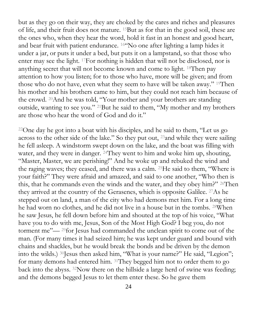but as they go on their way, they are choked by the cares and riches and pleasures of life, and their fruit does not mature. <sup>15</sup>But as for that in the good soil, these are the ones who, when they hear the word, hold it fast in an honest and good heart, and bear fruit with patient endurance. <sup>16</sup>"No one after lighting a lamp hides it under a jar, or puts it under a bed, but puts it on a lampstand, so that those who enter may see the light. <sup>17</sup>For nothing is hidden that will not be disclosed, nor is anything secret that will not become known and come to light. <sup>18</sup>Then pay attention to how you listen; for to those who have, more will be given; and from those who do not have, even what they seem to have will be taken away." <sup>19</sup>Then his mother and his brothers came to him, but they could not reach him because of the crowd. <sup>20</sup>And he was told, "Your mother and your brothers are standing outside, wanting to see you." <sup>21</sup>But he said to them, "My mother and my brothers are those who hear the word of God and do it."

<sup>22</sup>One day he got into a boat with his disciples, and he said to them, "Let us go across to the other side of the lake." So they put out, <sup>23</sup>and while they were sailing he fell asleep. A windstorm swept down on the lake, and the boat was filling with water, and they were in danger. <sup>24</sup>They went to him and woke him up, shouting, "Master, Master, we are perishing!" And he woke up and rebuked the wind and the raging waves; they ceased, and there was a calm. <sup>25</sup>He said to them, "Where is your faith?" They were afraid and amazed, and said to one another, "Who then is this, that he commands even the winds and the water, and they obey him?" <sup>26</sup>Then they arrived at the country of the Gerasenes, which is opposite Galilee. <sup>27</sup>As he stepped out on land, a man of the city who had demons met him. For a long time he had worn no clothes, and he did not live in a house but in the tombs. <sup>28</sup>When he saw Jesus, he fell down before him and shouted at the top of his voice, "What have you to do with me, Jesus, Son of the Most High God? I beg you, do not torment me"— <sup>29</sup>for Jesus had commanded the unclean spirit to come out of the man. (For many times it had seized him; he was kept under guard and bound with chains and shackles, but he would break the bonds and be driven by the demon into the wilds.) <sup>30</sup>Jesus then asked him, "What is your name?" He said, "Legion"; for many demons had entered him. <sup>31</sup>They begged him not to order them to go back into the abyss. <sup>32</sup>Now there on the hillside a large herd of swine was feeding; and the demons begged Jesus to let them enter these. So he gave them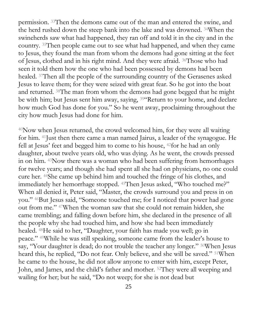permission. <sup>33</sup>Then the demons came out of the man and entered the swine, and the herd rushed down the steep bank into the lake and was drowned. <sup>34</sup>When the swineherds saw what had happened, they ran off and told it in the city and in the country. <sup>35</sup>Then people came out to see what had happened, and when they came to Jesus, they found the man from whom the demons had gone sitting at the feet of Jesus, clothed and in his right mind. And they were afraid. <sup>36</sup>Those who had seen it told them how the one who had been possessed by demons had been healed. <sup>37</sup>Then all the people of the surrounding country of the Gerasenes asked Jesus to leave them; for they were seized with great fear. So he got into the boat and returned. <sup>38</sup>The man from whom the demons had gone begged that he might be with him; but Jesus sent him away, saying, <sup>39"</sup>Return to your home, and declare how much God has done for you." So he went away, proclaiming throughout the city how much Jesus had done for him.

<sup>40</sup>Now when Jesus returned, the crowd welcomed him, for they were all waiting for him. <sup>41</sup>Just then there came a man named Jairus, a leader of the synagogue. He fell at Jesus' feet and begged him to come to his house, <sup>42</sup>for he had an only daughter, about twelve years old, who was dying. As he went, the crowds pressed in on him. <sup>43</sup>Now there was a woman who had been suffering from hemorrhages for twelve years; and though she had spent all she had on physicians, no one could cure her. <sup>44</sup>She came up behind him and touched the fringe of his clothes, and immediately her hemorrhage stopped. <sup>45</sup>Then Jesus asked, "Who touched me?" When all denied it, Peter said, "Master, the crowds surround you and press in on you." <sup>46</sup>But Jesus said, "Someone touched me; for I noticed that power had gone out from me." <sup>47</sup>When the woman saw that she could not remain hidden, she came trembling; and falling down before him, she declared in the presence of all the people why she had touched him, and how she had been immediately healed. <sup>48</sup>He said to her, "Daughter, your faith has made you well; go in peace." <sup>49</sup>While he was still speaking, someone came from the leader's house to say, "Your daughter is dead; do not trouble the teacher any longer." <sup>50</sup>When Jesus heard this, he replied, "Do not fear. Only believe, and she will be saved." <sup>51</sup>When he came to the house, he did not allow anyone to enter with him, except Peter, John, and James, and the child's father and mother. <sup>52</sup>They were all weeping and wailing for her; but he said, "Do not weep; for she is not dead but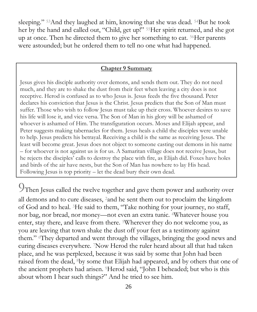sleeping." <sup>53</sup>And they laughed at him, knowing that she was dead. <sup>54</sup>But he took her by the hand and called out, "Child, get up!" <sup>55</sup>Her spirit returned, and she got up at once. Then he directed them to give her something to eat. <sup>56</sup>Her parents were astounded; but he ordered them to tell no one what had happened.

#### **Chapter 9 Summary**

Jesus gives his disciple authority over demons, and sends them out. They do not need much, and they are to shake the dust from their feet when leaving a city does is not receptive. Herod is confused as to who Jesus is. Jesus feeds the five thousand. Peter declares his conviction that Jesus is the Christ. Jesus predicts that the Son of Man must suffer. Those who wish to follow Jesus must take up their cross. Whoever desires to save his life will lose it, and vice versa. The Son of Man in his glory will be ashamed of whoever is ashamed of Him. The transfiguration occurs. Moses and Elijah appear, and Peter suggests making tabernacles for them. Jesus heals a child the disciples were unable to help. Jesus predicts his betrayal. Receiving a child is the same as receiving Jesus. The least will become great. Jesus does not object to someone casting out demons in his name – for whoever is not against us is for us. A Samaritan village does not receive Jesus, but he rejects the disciples' calls to destroy the place with fire, as Elijah did. Foxes have holes and birds of the air have nests, but the Son of Man has nowhere to lay His head. Following Jesus is top priority – let the dead bury their own dead.

9Then Jesus called the twelve together and gave them power and authority over all demons and to cure diseases, <sup>2</sup>and he sent them out to proclaim the kingdom of God and to heal. <sup>3</sup>He said to them, "Take nothing for your journey, no staff, nor bag, nor bread, nor money—not even an extra tunic. <sup>4</sup>Whatever house you enter, stay there, and leave from there. <sup>5</sup>Wherever they do not welcome you, as you are leaving that town shake the dust off your feet as a testimony against them." <sup>6</sup>They departed and went through the villages, bringing the good news and curing diseases everywhere. <sup>7</sup>Now Herod the ruler heard about all that had taken place, and he was perplexed, because it was said by some that John had been raised from the dead, <sup>8</sup>by some that Elijah had appeared, and by others that one of the ancient prophets had arisen. <sup>9</sup>Herod said, "John I beheaded; but who is this about whom I hear such things?" And he tried to see him.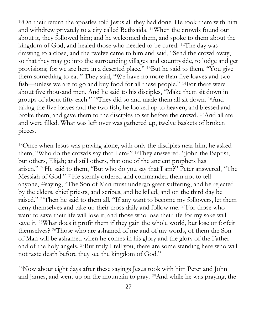<sup>10</sup>On their return the apostles told Jesus all they had done. He took them with him and withdrew privately to a city called Bethsaida. <sup>11</sup>When the crowds found out about it, they followed him; and he welcomed them, and spoke to them about the kingdom of God, and healed those who needed to be cured. <sup>12</sup>The day was drawing to a close, and the twelve came to him and said, "Send the crowd away, so that they may go into the surrounding villages and countryside, to lodge and get provisions; for we are here in a deserted place." <sup>13</sup>But he said to them, "You give them something to eat." They said, "We have no more than five loaves and two fish—unless we are to go and buy food for all these people." <sup>14</sup>For there were about five thousand men. And he said to his disciples, "Make them sit down in groups of about fifty each." <sup>15</sup>They did so and made them all sit down. <sup>16</sup>And taking the five loaves and the two fish, he looked up to heaven, and blessed and broke them, and gave them to the disciples to set before the crowd. <sup>17</sup>And all ate and were filled. What was left over was gathered up, twelve baskets of broken pieces.

<sup>18</sup>Once when Jesus was praying alone, with only the disciples near him, he asked them, "Who do the crowds say that I am?" <sup>19</sup>They answered, "John the Baptist; but others, Elijah; and still others, that one of the ancient prophets has arisen." <sup>20</sup>He said to them, "But who do you say that I am?" Peter answered, "The Messiah of God." <sup>21</sup>He sternly ordered and commanded them not to tell anyone, <sup>22</sup>saying, "The Son of Man must undergo great suffering, and be rejected by the elders, chief priests, and scribes, and be killed, and on the third day be raised." <sup>23</sup>Then he said to them all, "If any want to become my followers, let them deny themselves and take up their cross daily and follow me. <sup>24</sup>For those who want to save their life will lose it, and those who lose their life for my sake will save it. <sup>25</sup>What does it profit them if they gain the whole world, but lose or forfeit themselves? <sup>26</sup>Those who are ashamed of me and of my words, of them the Son of Man will be ashamed when he comes in his glory and the glory of the Father and of the holy angels. <sup>27</sup>But truly I tell you, there are some standing here who will not taste death before they see the kingdom of God."

<sup>28</sup>Now about eight days after these sayings Jesus took with him Peter and John and James, and went up on the mountain to pray. <sup>29</sup>And while he was praying, the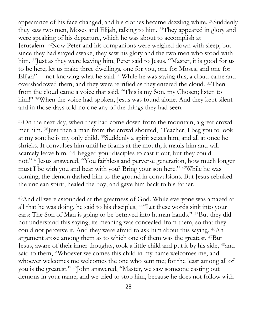appearance of his face changed, and his clothes became dazzling white. <sup>30</sup>Suddenly they saw two men, Moses and Elijah, talking to him. <sup>31</sup>They appeared in glory and were speaking of his departure, which he was about to accomplish at Jerusalem. <sup>32</sup>Now Peter and his companions were weighed down with sleep; but since they had stayed awake, they saw his glory and the two men who stood with him. <sup>33</sup>Just as they were leaving him, Peter said to Jesus, "Master, it is good for us to be here; let us make three dwellings, one for you, one for Moses, and one for Elijah" —not knowing what he said. <sup>34</sup>While he was saying this, a cloud came and overshadowed them; and they were terrified as they entered the cloud. <sup>35</sup>Then from the cloud came a voice that said, "This is my Son, my Chosen; listen to him!" <sup>36</sup>When the voice had spoken, Jesus was found alone. And they kept silent and in those days told no one any of the things they had seen.

<sup>37</sup>On the next day, when they had come down from the mountain, a great crowd met him. <sup>38</sup>Just then a man from the crowd shouted, "Teacher, I beg you to look at my son; he is my only child. <sup>39</sup>Suddenly a spirit seizes him, and all at once he shrieks. It convulses him until he foams at the mouth; it mauls him and will scarcely leave him. <sup>40</sup>I begged your disciples to cast it out, but they could not." <sup>41</sup>Jesus answered, "You faithless and perverse generation, how much longer must I be with you and bear with you? Bring your son here." <sup>42</sup>While he was coming, the demon dashed him to the ground in convulsions. But Jesus rebuked the unclean spirit, healed the boy, and gave him back to his father.

<sup>43</sup>And all were astounded at the greatness of God. While everyone was amazed at all that he was doing, he said to his disciples, <sup>44</sup>"Let these words sink into your ears: The Son of Man is going to be betrayed into human hands." <sup>45</sup>But they did not understand this saying; its meaning was concealed from them, so that they could not perceive it. And they were afraid to ask him about this saying. <sup>46</sup>An argument arose among them as to which one of them was the greatest. <sup>47</sup>But Jesus, aware of their inner thoughts, took a little child and put it by his side, <sup>48</sup>and said to them, "Whoever welcomes this child in my name welcomes me, and whoever welcomes me welcomes the one who sent me; for the least among all of you is the greatest." <sup>49</sup>John answered, "Master, we saw someone casting out demons in your name, and we tried to stop him, because he does not follow with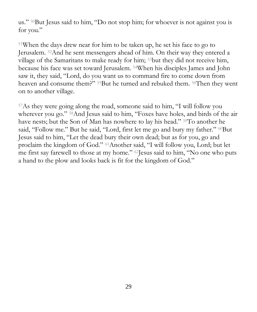us." <sup>50</sup>But Jesus said to him, "Do not stop him; for whoever is not against you is for you."

<sup>51</sup>When the days drew near for him to be taken up, he set his face to go to Jerusalem. <sup>52</sup>And he sent messengers ahead of him. On their way they entered a village of the Samaritans to make ready for him; <sup>53</sup>but they did not receive him, because his face was set toward Jerusalem. <sup>54</sup>When his disciples James and John saw it, they said, "Lord, do you want us to command fire to come down from heaven and consume them?" <sup>55</sup>But he turned and rebuked them. <sup>56</sup>Then they went on to another village.

<sup>57</sup>As they were going along the road, someone said to him, "I will follow you wherever you go." <sup>58</sup>And Jesus said to him, "Foxes have holes, and birds of the air have nests; but the Son of Man has nowhere to lay his head." <sup>59</sup>To another he said, "Follow me." But he said, "Lord, first let me go and bury my father." <sup>60</sup>But Jesus said to him, "Let the dead bury their own dead; but as for you, go and proclaim the kingdom of God." <sup>61</sup>Another said, "I will follow you, Lord; but let me first say farewell to those at my home." <sup>62</sup>Jesus said to him, "No one who puts a hand to the plow and looks back is fit for the kingdom of God."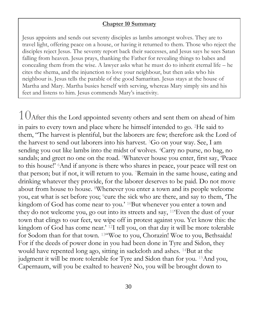#### **Chapter 10 Summary**

Jesus appoints and sends out seventy disciples as lambs amongst wolves. They are to travel light, offering peace on a house, or having it returned to them. Those who reject the disciples reject Jesus. The seventy report back their successes, and Jesus says he sees Satan falling from heaven. Jesus prays, thanking the Father for revealing things to babes and concealing them from the wise. A lawyer asks what he must do to inherit eternal life – he cites the shema, and the injunction to love your neighbour, but then asks who his neighbour is. Jesus tells the parable of the good Samaritan. Jesus stays at the house of Martha and Mary. Martha busies herself with serving, whereas Mary simply sits and his feet and listens to him. Jesus commends Mary's inactivity.

 $10$ After this the Lord appointed seventy others and sent them on ahead of him in pairs to every town and place where he himself intended to go. <sup>2</sup>He said to them, "The harvest is plentiful, but the laborers are few; therefore ask the Lord of the harvest to send out laborers into his harvest. <sup>3</sup>Go on your way. See, I am sending you out like lambs into the midst of wolves. <sup>4</sup>Carry no purse, no bag, no sandals; and greet no one on the road. <sup>5</sup>Whatever house you enter, first say, 'Peace to this house!' <sup>6</sup>And if anyone is there who shares in peace, your peace will rest on that person; but if not, it will return to you. <sup>7</sup>Remain in the same house, eating and drinking whatever they provide, for the laborer deserves to be paid. Do not move about from house to house. <sup>8</sup>Whenever you enter a town and its people welcome you, eat what is set before you; <sup>9</sup>cure the sick who are there, and say to them, 'The kingdom of God has come near to you.' <sup>10</sup>But whenever you enter a town and they do not welcome you, go out into its streets and say, <sup>11</sup>'Even the dust of your town that clings to our feet, we wipe off in protest against you. Yet know this: the kingdom of God has come near.' <sup>12</sup>I tell you, on that day it will be more tolerable for Sodom than for that town. <sup>13</sup>"Woe to you, Chorazin! Woe to you, Bethsaida! For if the deeds of power done in you had been done in Tyre and Sidon, they would have repented long ago, sitting in sackcloth and ashes. <sup>14</sup>But at the judgment it will be more tolerable for Tyre and Sidon than for you. <sup>15</sup>And you, Capernaum, will you be exalted to heaven? No, you will be brought down to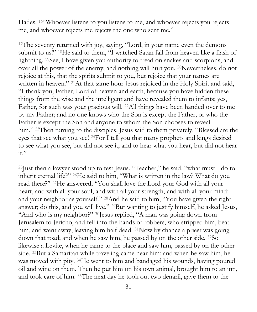Hades. <sup>16</sup>"Whoever listens to you listens to me, and whoever rejects you rejects me, and whoever rejects me rejects the one who sent me."

<sup>17</sup>The seventy returned with joy, saying, "Lord, in your name even the demons submit to us!" <sup>18</sup>He said to them, "I watched Satan fall from heaven like a flash of lightning. <sup>19</sup>See, I have given you authority to tread on snakes and scorpions, and over all the power of the enemy; and nothing will hurt you. <sup>20</sup>Nevertheless, do not rejoice at this, that the spirits submit to you, but rejoice that your names are written in heaven." <sup>21</sup>At that same hour Jesus rejoiced in the Holy Spirit and said, "I thank you, Father, Lord of heaven and earth, because you have hidden these things from the wise and the intelligent and have revealed them to infants; yes, Father, for such was your gracious will. <sup>22</sup>All things have been handed over to me by my Father; and no one knows who the Son is except the Father, or who the Father is except the Son and anyone to whom the Son chooses to reveal him." <sup>23</sup>Then turning to the disciples, Jesus said to them privately, "Blessed are the eyes that see what you see! <sup>24</sup>For I tell you that many prophets and kings desired to see what you see, but did not see it, and to hear what you hear, but did not hear  $it.$ "

<sup>25</sup> Just then a lawyer stood up to test Jesus. "Teacher," he said, "what must I do to inherit eternal life?" <sup>26</sup>He said to him, "What is written in the law? What do you read there?" <sup>27</sup>He answered, "You shall love the Lord your God with all your heart, and with all your soul, and with all your strength, and with all your mind; and your neighbor as yourself." <sup>28</sup>And he said to him, "You have given the right answer; do this, and you will live." <sup>29</sup>But wanting to justify himself, he asked Jesus, "And who is my neighbor?" <sup>30</sup>Jesus replied, "A man was going down from Jerusalem to Jericho, and fell into the hands of robbers, who stripped him, beat him, and went away, leaving him half dead. <sup>31</sup>Now by chance a priest was going down that road; and when he saw him, he passed by on the other side. <sup>32</sup>So likewise a Levite, when he came to the place and saw him, passed by on the other side. <sup>33</sup>But a Samaritan while traveling came near him; and when he saw him, he was moved with pity. <sup>34</sup>He went to him and bandaged his wounds, having poured oil and wine on them. Then he put him on his own animal, brought him to an inn, and took care of him. <sup>35</sup>The next day he took out two denarii, gave them to the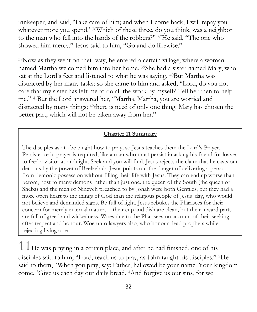innkeeper, and said, 'Take care of him; and when I come back, I will repay you whatever more you spend.' <sup>36</sup>Which of these three, do you think, was a neighbor to the man who fell into the hands of the robbers?" <sup>37</sup>He said, "The one who showed him mercy." Jesus said to him, "Go and do likewise."

<sup>38</sup>Now as they went on their way, he entered a certain village, where a woman named Martha welcomed him into her home. <sup>39</sup>She had a sister named Mary, who sat at the Lord's feet and listened to what he was saying. <sup>40</sup>But Martha was distracted by her many tasks; so she came to him and asked, "Lord, do you not care that my sister has left me to do all the work by myself? Tell her then to help me." <sup>41</sup>But the Lord answered her, "Martha, Martha, you are worried and distracted by many things; <sup>42</sup>there is need of only one thing. Mary has chosen the better part, which will not be taken away from her."

#### **Chapter 11 Summary**

The disciples ask to be taught how to pray, so Jesus teaches them the Lord's Prayer. Persistence in prayer is required, like a man who must persist in asking his friend for loaves to feed a visitor at midnight. Seek and you will find. Jesus rejects the claim that he casts out demons by the power of Beelzebub. Jesus points out the danger of delivering a person from demonic possession without filling their life with Jesus. They can end up worse than before, host to many demons rather than just one. the queen of the South (the queen of Sheba) and the men of Nineveh preached to by Jonah were both Gentiles, but they had a more open heart to the things of God than the religious people of Jesus' day, who would not believe and demanded signs. Be full of light. Jesus rebukes the Pharisees for their concern for merely external matters – their cup and dish are clean, but their inward parts are full of greed and wickedness. Woes due to the Pharisees on account of their seeking after respect and honour. Woe unto lawyers also, who honour dead prophets while rejecting living ones.

 $11$  He was praying in a certain place, and after he had finished, one of his disciples said to him, "Lord, teach us to pray, as John taught his disciples." <sup>2</sup>He said to them, "When you pray, say: Father, hallowed be your name. Your kingdom come. <sup>3</sup>Give us each day our daily bread. <sup>4</sup>And forgive us our sins, for we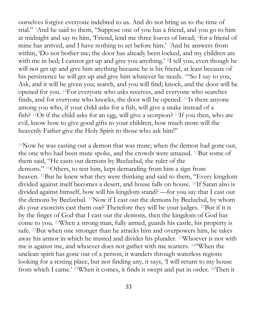ourselves forgive everyone indebted to us. And do not bring us to the time of trial." <sup>5</sup>And he said to them, "Suppose one of you has a friend, and you go to him at midnight and say to him, 'Friend, lend me three loaves of bread; <sup>6</sup>for a friend of mine has arrived, and I have nothing to set before him.' <sup>7</sup>And he answers from within, 'Do not bother me; the door has already been locked, and my children are with me in bed; I cannot get up and give you anything.' <sup>8</sup>I tell you, even though he will not get up and give him anything because he is his friend, at least because of his persistence he will get up and give him whatever he needs. <sup>94</sup>So I say to you, Ask, and it will be given you; search, and you will find; knock, and the door will be opened for you. <sup>10</sup>For everyone who asks receives, and everyone who searches finds, and for everyone who knocks, the door will be opened. <sup>11</sup>Is there anyone among you who, if your child asks for a fish, will give a snake instead of a fish? <sup>12</sup>Or if the child asks for an egg, will give a scorpion? <sup>13</sup>If you then, who are evil, know how to give good gifts to your children, how much more will the heavenly Father give the Holy Spirit to those who ask him!"

<sup>14</sup>Now he was casting out a demon that was mute; when the demon had gone out, the one who had been mute spoke, and the crowds were amazed. <sup>15</sup>But some of them said, "He casts out demons by Beelzebul, the ruler of the demons." <sup>16</sup>Others, to test him, kept demanding from him a sign from heaven. <sup>17</sup>But he knew what they were thinking and said to them, "Every kingdom divided against itself becomes a desert, and house falls on house. <sup>18</sup>If Satan also is divided against himself, how will his kingdom stand? —for you say that I cast out the demons by Beelzebul. <sup>19</sup>Now if I cast out the demons by Beelzebul, by whom do your exorcists cast them out? Therefore they will be your judges. <sup>20</sup>But if it is by the finger of God that I cast out the demons, then the kingdom of God has come to you. <sup>21</sup>When a strong man, fully armed, guards his castle, his property is safe. <sup>22</sup>But when one stronger than he attacks him and overpowers him, he takes away his armor in which he trusted and divides his plunder. <sup>23</sup>Whoever is not with me is against me, and whoever does not gather with me scatters. <sup>24</sup>"When the unclean spirit has gone out of a person, it wanders through waterless regions looking for a resting place, but not finding any, it says, 'I will return to my house from which I came.' <sup>25</sup>When it comes, it finds it swept and put in order. <sup>26</sup>Then it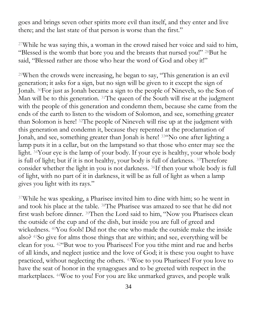goes and brings seven other spirits more evil than itself, and they enter and live there; and the last state of that person is worse than the first."

<sup>27</sup>While he was saying this, a woman in the crowd raised her voice and said to him, "Blessed is the womb that bore you and the breasts that nursed you!" <sup>28</sup>But he said, "Blessed rather are those who hear the word of God and obey it!"

<sup>29</sup>When the crowds were increasing, he began to say, "This generation is an evil generation; it asks for a sign, but no sign will be given to it except the sign of Jonah. <sup>30</sup>For just as Jonah became a sign to the people of Nineveh, so the Son of Man will be to this generation. <sup>31</sup>The queen of the South will rise at the judgment with the people of this generation and condemn them, because she came from the ends of the earth to listen to the wisdom of Solomon, and see, something greater than Solomon is here! <sup>32</sup>The people of Nineveh will rise up at the judgment with this generation and condemn it, because they repented at the proclamation of Jonah, and see, something greater than Jonah is here! <sup>33</sup>"No one after lighting a lamp puts it in a cellar, but on the lampstand so that those who enter may see the light. <sup>34</sup>Your eye is the lamp of your body. If your eye is healthy, your whole body is full of light; but if it is not healthy, your body is full of darkness. <sup>35</sup>Therefore consider whether the light in you is not darkness. <sup>36</sup>If then your whole body is full of light, with no part of it in darkness, it will be as full of light as when a lamp gives you light with its rays."

<sup>37</sup>While he was speaking, a Pharisee invited him to dine with him; so he went in and took his place at the table. <sup>38</sup>The Pharisee was amazed to see that he did not first wash before dinner. <sup>39</sup>Then the Lord said to him, "Now you Pharisees clean the outside of the cup and of the dish, but inside you are full of greed and wickedness. <sup>40</sup>You fools! Did not the one who made the outside make the inside also? <sup>41</sup>So give for alms those things that are within; and see, everything will be clean for you. <sup>42</sup>"But woe to you Pharisees! For you tithe mint and rue and herbs of all kinds, and neglect justice and the love of God; it is these you ought to have practiced, without neglecting the others. <sup>43</sup>Woe to you Pharisees! For you love to have the seat of honor in the synagogues and to be greeted with respect in the marketplaces. <sup>44</sup>Woe to you! For you are like unmarked graves, and people walk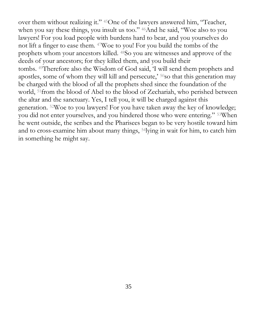over them without realizing it." <sup>45</sup>One of the lawyers answered him, "Teacher, when you say these things, you insult us too." <sup>46</sup>And he said, "Woe also to you lawyers! For you load people with burdens hard to bear, and you yourselves do not lift a finger to ease them. <sup>47</sup>Woe to you! For you build the tombs of the prophets whom your ancestors killed. <sup>48</sup>So you are witnesses and approve of the deeds of your ancestors; for they killed them, and you build their tombs. <sup>49</sup>Therefore also the Wisdom of God said, 'I will send them prophets and apostles, some of whom they will kill and persecute,' <sup>50</sup>so that this generation may be charged with the blood of all the prophets shed since the foundation of the world, <sup>51</sup>from the blood of Abel to the blood of Zechariah, who perished between the altar and the sanctuary. Yes, I tell you, it will be charged against this generation. <sup>52</sup>Woe to you lawyers! For you have taken away the key of knowledge; you did not enter yourselves, and you hindered those who were entering." <sup>53</sup>When he went outside, the scribes and the Pharisees began to be very hostile toward him and to cross-examine him about many things, <sup>54</sup>lying in wait for him, to catch him in something he might say.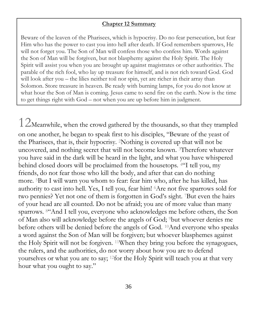#### **Chapter 12 Summary**

Beware of the leaven of the Pharisees, which is hypocrisy. Do no fear persecution, but fear Him who has the power to cast you into hell after death. If God remembers sparrows, He will not forget you. The Son of Man will confess those who confess him. Words against the Son of Man will be forgiven, but not blasphemy against the Holy Spirit. The Holy Spirit will assist you when you are brought up against magistrates or other authorities. The parable of the rich fool, who lay up treasure for himself, and is not rich toward God. God will look after you – the lilies neither toil nor spin, yet are richer in their array than Solomon. Store treasure in heaven. Be ready with burning lamps, for you do not know at what hour the Son of Man is coming. Jesus came to send fire on the earth. Now is the time to get things right with God – not when you are up before him in judgment.

 $12$ Meanwhile, when the crowd gathered by the thousands, so that they trampled on one another, he began to speak first to his disciples, "Beware of the yeast of the Pharisees, that is, their hypocrisy. <sup>2</sup>Nothing is covered up that will not be uncovered, and nothing secret that will not become known. <sup>3</sup>Therefore whatever you have said in the dark will be heard in the light, and what you have whispered behind closed doors will be proclaimed from the housetops. <sup>4</sup>"I tell you, my friends, do not fear those who kill the body, and after that can do nothing more. <sup>5</sup>But I will warn you whom to fear: fear him who, after he has killed, has authority to cast into hell. Yes, I tell you, fear him! <sup>6</sup>Are not five sparrows sold for two pennies? Yet not one of them is forgotten in God's sight. <sup>7</sup>But even the hairs of your head are all counted. Do not be afraid; you are of more value than many sparrows. <sup>8</sup>"And I tell you, everyone who acknowledges me before others, the Son of Man also will acknowledge before the angels of God; <sup>9</sup>but whoever denies me before others will be denied before the angels of God. <sup>10</sup>And everyone who speaks a word against the Son of Man will be forgiven; but whoever blasphemes against the Holy Spirit will not be forgiven. <sup>11</sup>When they bring you before the synagogues, the rulers, and the authorities, do not worry about how you are to defend yourselves or what you are to say; <sup>12</sup>for the Holy Spirit will teach you at that very hour what you ought to say."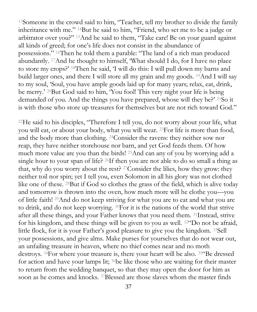<sup>13</sup>Someone in the crowd said to him, "Teacher, tell my brother to divide the family inheritance with me." <sup>14</sup>But he said to him, "Friend, who set me to be a judge or arbitrator over you?" <sup>15</sup>And he said to them, "Take care! Be on your guard against all kinds of greed; for one's life does not consist in the abundance of possessions." <sup>16</sup>Then he told them a parable: "The land of a rich man produced abundantly. <sup>17</sup>And he thought to himself, 'What should I do, for I have no place to store my crops?' <sup>18</sup>Then he said, 'I will do this: I will pull down my barns and build larger ones, and there I will store all my grain and my goods. <sup>19</sup>And I will say to my soul, 'Soul, you have ample goods laid up for many years; relax, eat, drink, be merry.' <sup>20</sup>But God said to him, 'You fool! This very night your life is being demanded of you. And the things you have prepared, whose will they be?' <sup>21</sup>So it is with those who store up treasures for themselves but are not rich toward God."

 $22$ He said to his disciples, "Therefore I tell you, do not worry about your life, what you will eat, or about your body, what you will wear. <sup>23</sup>For life is more than food, and the body more than clothing. <sup>24</sup>Consider the ravens: they neither sow nor reap, they have neither storehouse nor barn, and yet God feeds them. Of how much more value are you than the birds! <sup>25</sup>And can any of you by worrying add a single hour to your span of life? <sup>26</sup>If then you are not able to do so small a thing as that, why do you worry about the rest? <sup>27</sup>Consider the lilies, how they grow: they neither toil nor spin; yet I tell you, even Solomon in all his glory was not clothed like one of these. <sup>28</sup>But if God so clothes the grass of the field, which is alive today and tomorrow is thrown into the oven, how much more will he clothe you—you of little faith! <sup>29</sup>And do not keep striving for what you are to eat and what you are to drink, and do not keep worrying. <sup>30</sup>For it is the nations of the world that strive after all these things, and your Father knows that you need them. <sup>31</sup>Instead, strive for his kingdom, and these things will be given to you as well. <sup>32</sup>"Do not be afraid, little flock, for it is your Father's good pleasure to give you the kingdom. <sup>33</sup>Sell your possessions, and give alms. Make purses for yourselves that do not wear out, an unfailing treasure in heaven, where no thief comes near and no moth destroys. <sup>34</sup>For where your treasure is, there your heart will be also. <sup>35"</sup>Be dressed for action and have your lamps lit; <sup>36</sup>be like those who are waiting for their master to return from the wedding banquet, so that they may open the door for him as soon as he comes and knocks. <sup>37</sup>Blessed are those slaves whom the master finds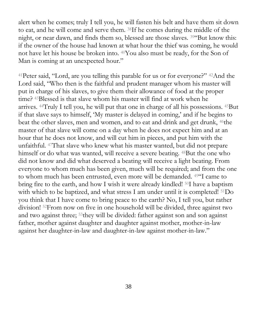alert when he comes; truly I tell you, he will fasten his belt and have them sit down to eat, and he will come and serve them. <sup>38</sup>If he comes during the middle of the night, or near dawn, and finds them so, blessed are those slaves. <sup>39</sup>"But know this: if the owner of the house had known at what hour the thief was coming, he would not have let his house be broken into. <sup>40</sup>You also must be ready, for the Son of Man is coming at an unexpected hour."

<sup>41</sup>Peter said, "Lord, are you telling this parable for us or for everyone?" <sup>42</sup>And the Lord said, "Who then is the faithful and prudent manager whom his master will put in charge of his slaves, to give them their allowance of food at the proper time? <sup>43</sup>Blessed is that slave whom his master will find at work when he arrives. <sup>44</sup>Truly I tell you, he will put that one in charge of all his possessions. <sup>45</sup>But if that slave says to himself, 'My master is delayed in coming,' and if he begins to beat the other slaves, men and women, and to eat and drink and get drunk, <sup>46</sup>the master of that slave will come on a day when he does not expect him and at an hour that he does not know, and will cut him in pieces, and put him with the unfaithful. <sup>47</sup>That slave who knew what his master wanted, but did not prepare himself or do what was wanted, will receive a severe beating. <sup>48</sup>But the one who did not know and did what deserved a beating will receive a light beating. From everyone to whom much has been given, much will be required; and from the one to whom much has been entrusted, even more will be demanded. <sup>49</sup>"I came to bring fire to the earth, and how I wish it were already kindled! <sup>50</sup>I have a baptism with which to be baptized, and what stress I am under until it is completed! <sup>51</sup>Do you think that I have come to bring peace to the earth? No, I tell you, but rather division! <sup>52</sup>From now on five in one household will be divided, three against two and two against three; <sup>53</sup>they will be divided: father against son and son against father, mother against daughter and daughter against mother, mother-in-law against her daughter-in-law and daughter-in-law against mother-in-law."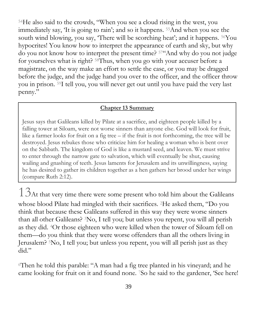<sup>54</sup>He also said to the crowds, "When you see a cloud rising in the west, you immediately say, 'It is going to rain'; and so it happens. <sup>55</sup>And when you see the south wind blowing, you say, 'There will be scorching heat'; and it happens. <sup>56</sup>You hypocrites! You know how to interpret the appearance of earth and sky, but why do you not know how to interpret the present time? <sup>57</sup>"And why do you not judge for yourselves what is right? <sup>58</sup>Thus, when you go with your accuser before a magistrate, on the way make an effort to settle the case, or you may be dragged before the judge, and the judge hand you over to the officer, and the officer throw you in prison. <sup>59</sup>I tell you, you will never get out until you have paid the very last penny."

#### **Chapter 13 Summary**

Jesus says that Galileans killed by Pilate at a sacrifice, and eighteen people killed by a falling tower at Siloam, were not worse sinners than anyone else. God will look for fruit, like a farmer looks for fruit on a fig tree – if the fruit is not forthcoming, the tree will be destroyed. Jesus rebukes those who criticize him for healing a woman who is bent over on the Sabbath. The kingdom of God is like a mustard seed, and leaven. We must strive to enter through the narrow gate to salvation, which will eventually be shut, causing wailing and gnashing of teeth. Jesus laments for Jerusalem and its unwillingness, saying he has desired to gather its children together as a hen gathers her brood under her wings (compare Ruth 2:12).

 $13$ At that very time there were some present who told him about the Galileans whose blood Pilate had mingled with their sacrifices. <sup>2</sup>He asked them, "Do you think that because these Galileans suffered in this way they were worse sinners than all other Galileans? <sup>3</sup>No, I tell you; but unless you repent, you will all perish as they did. <sup>4</sup>Or those eighteen who were killed when the tower of Siloam fell on them—do you think that they were worse offenders than all the others living in Jerusalem? <sup>5</sup>No, I tell you; but unless you repent, you will all perish just as they did."

<sup>6</sup>Then he told this parable: "A man had a fig tree planted in his vineyard; and he came looking for fruit on it and found none. <sup>7</sup>So he said to the gardener, 'See here!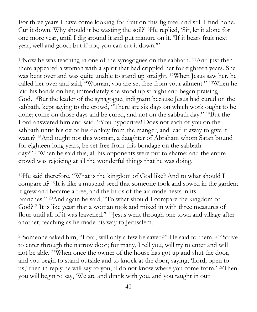For three years I have come looking for fruit on this fig tree, and still I find none. Cut it down! Why should it be wasting the soil?' <sup>8</sup>He replied, 'Sir, let it alone for one more year, until I dig around it and put manure on it. <sup>9</sup>If it bears fruit next year, well and good; but if not, you can cut it down.'"

<sup>10</sup>Now he was teaching in one of the synagogues on the sabbath. <sup>11</sup>And just then there appeared a woman with a spirit that had crippled her for eighteen years. She was bent over and was quite unable to stand up straight. <sup>12</sup>When Jesus saw her, he called her over and said, "Woman, you are set free from your ailment." <sup>13</sup>When he laid his hands on her, immediately she stood up straight and began praising God. <sup>14</sup>But the leader of the synagogue, indignant because Jesus had cured on the sabbath, kept saying to the crowd, "There are six days on which work ought to be done; come on those days and be cured, and not on the sabbath day." <sup>15</sup>But the Lord answered him and said, "You hypocrites! Does not each of you on the sabbath untie his ox or his donkey from the manger, and lead it away to give it water? <sup>16</sup>And ought not this woman, a daughter of Abraham whom Satan bound for eighteen long years, be set free from this bondage on the sabbath day?" <sup>17</sup>When he said this, all his opponents were put to shame; and the entire crowd was rejoicing at all the wonderful things that he was doing.

<sup>18</sup>He said therefore, "What is the kingdom of God like? And to what should I compare it? <sup>19</sup>It is like a mustard seed that someone took and sowed in the garden; it grew and became a tree, and the birds of the air made nests in its branches." <sup>20</sup>And again he said, "To what should I compare the kingdom of God? <sup>21</sup>It is like yeast that a woman took and mixed in with three measures of flour until all of it was leavened." <sup>22</sup>Jesus went through one town and village after another, teaching as he made his way to Jerusalem.

<sup>23</sup>Someone asked him, "Lord, will only a few be saved?" He said to them, <sup>24</sup>"Strive to enter through the narrow door; for many, I tell you, will try to enter and will not be able. <sup>25</sup>When once the owner of the house has got up and shut the door, and you begin to stand outside and to knock at the door, saying, 'Lord, open to us,' then in reply he will say to you, 'I do not know where you come from.' 26Then you will begin to say, 'We ate and drank with you, and you taught in our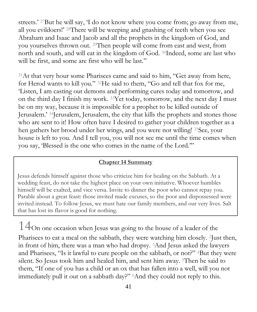streets.' <sup>27</sup>But he will say, 'I do not know where you come from; go away from me, all you evildoers!' <sup>28</sup>There will be weeping and gnashing of teeth when you see Abraham and Isaac and Jacob and all the prophets in the kingdom of God, and you yourselves thrown out. <sup>29</sup>Then people will come from east and west, from north and south, and will eat in the kingdom of God. <sup>30</sup>Indeed, some are last who will be first, and some are first who will be last."

<sup>31</sup>At that very hour some Pharisees came and said to him, "Get away from here, for Herod wants to kill you." <sup>32</sup>He said to them, "Go and tell that fox for me, 'Listen, I am casting out demons and performing cures today and tomorrow, and on the third day I finish my work. <sup>33</sup>Yet today, tomorrow, and the next day I must be on my way, because it is impossible for a prophet to be killed outside of Jerusalem.' <sup>34</sup>Jerusalem, Jerusalem, the city that kills the prophets and stones those who are sent to it! How often have I desired to gather your children together as a hen gathers her brood under her wings, and you were not willing! <sup>35</sup>See, your house is left to you. And I tell you, you will not see me until the time comes when you say, 'Blessed is the one who comes in the name of the Lord.'"

#### **Chapter 14 Summary**

Jesus defends himself against those who criticize him for healing on the Sabbath. At a wedding feast, do not take the highest place on your own initiative. Whoever humbles himself will be exalted, and vice versa. Invite to dinner the poor who cannot repay you. Parable about a great feast: those invited made excuses, so the poor and dispossessed were invited instead. To follow Jesus, we must hate our family members, and our very lives. Salt that has lost its flavor is good for nothing.

14On one occasion when Jesus was going to the house of a leader of the Pharisees to eat a meal on the sabbath, they were watching him closely. <sup>2</sup>Just then, in front of him, there was a man who had dropsy. <sup>3</sup>And Jesus asked the lawyers and Pharisees, "Is it lawful to cure people on the sabbath, or not?" <sup>4</sup>But they were silent. So Jesus took him and healed him, and sent him away. <sup>5</sup>Then he said to them, "If one of you has a child or an ox that has fallen into a well, will you not immediately pull it out on a sabbath day?" <sup>6</sup>And they could not reply to this.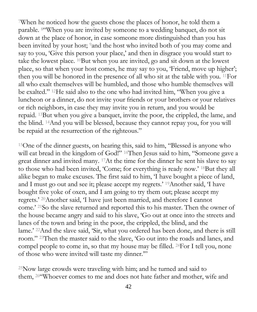<sup>7</sup>When he noticed how the guests chose the places of honor, he told them a parable. <sup>8</sup>"When you are invited by someone to a wedding banquet, do not sit down at the place of honor, in case someone more distinguished than you has been invited by your host; <sup>9</sup>and the host who invited both of you may come and say to you, 'Give this person your place,' and then in disgrace you would start to take the lowest place. <sup>10</sup>But when you are invited, go and sit down at the lowest place, so that when your host comes, he may say to you, 'Friend, move up higher'; then you will be honored in the presence of all who sit at the table with you. <sup>11</sup>For all who exalt themselves will be humbled, and those who humble themselves will be exalted." <sup>12</sup>He said also to the one who had invited him, "When you give a luncheon or a dinner, do not invite your friends or your brothers or your relatives or rich neighbors, in case they may invite you in return, and you would be repaid. <sup>13</sup>But when you give a banquet, invite the poor, the crippled, the lame, and the blind. <sup>14</sup>And you will be blessed, because they cannot repay you, for you will be repaid at the resurrection of the righteous."

<sup>15</sup>One of the dinner guests, on hearing this, said to him, "Blessed is anyone who will eat bread in the kingdom of God!" <sup>16</sup>Then Jesus said to him, "Someone gave a great dinner and invited many. <sup>17</sup>At the time for the dinner he sent his slave to say to those who had been invited, 'Come; for everything is ready now.' <sup>18</sup>But they all alike began to make excuses. The first said to him, 'I have bought a piece of land, and I must go out and see it; please accept my regrets.' <sup>19</sup>Another said, 'I have bought five yoke of oxen, and I am going to try them out; please accept my regrets.' <sup>20</sup>Another said, 'I have just been married, and therefore I cannot come.' <sup>21</sup>So the slave returned and reported this to his master. Then the owner of the house became angry and said to his slave, 'Go out at once into the streets and lanes of the town and bring in the poor, the crippled, the blind, and the lame.' <sup>22</sup>And the slave said, 'Sir, what you ordered has been done, and there is still room." <sup>23</sup>Then the master said to the slave, 'Go out into the roads and lanes, and compel people to come in, so that my house may be filled. <sup>24</sup>For I tell you, none of those who were invited will taste my dinner.'"

<sup>25</sup>Now large crowds were traveling with him; and he turned and said to them, <sup>26</sup>"Whoever comes to me and does not hate father and mother, wife and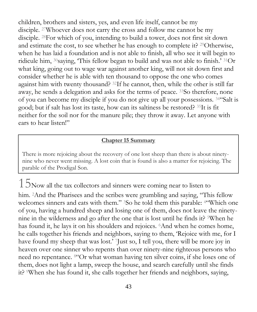children, brothers and sisters, yes, and even life itself, cannot be my disciple. <sup>27</sup>Whoever does not carry the cross and follow me cannot be my disciple. <sup>28</sup>For which of you, intending to build a tower, does not first sit down and estimate the cost, to see whether he has enough to complete it? <sup>29</sup>Otherwise, when he has laid a foundation and is not able to finish, all who see it will begin to ridicule him, <sup>30</sup>saying, 'This fellow began to build and was not able to finish.' <sup>31</sup>Or what king, going out to wage war against another king, will not sit down first and consider whether he is able with ten thousand to oppose the one who comes against him with twenty thousand? <sup>32</sup>If he cannot, then, while the other is still far away, he sends a delegation and asks for the terms of peace. <sup>33</sup>So therefore, none of you can become my disciple if you do not give up all your possessions. <sup>34</sup>"Salt is good; but if salt has lost its taste, how can its saltiness be restored? <sup>35</sup>It is fit neither for the soil nor for the manure pile; they throw it away. Let anyone with ears to hear listen!"

#### **Chapter 15 Summary**

There is more rejoicing about the recovery of one lost sheep than there is about ninetynine who never went missing. A lost coin that is found is also a matter for rejoicing. The parable of the Prodigal Son.

 $15$ Now all the tax collectors and sinners were coming near to listen to him. <sup>2</sup>And the Pharisees and the scribes were grumbling and saying, "This fellow welcomes sinners and eats with them." <sup>3</sup>So he told them this parable: <sup>4</sup>"Which one of you, having a hundred sheep and losing one of them, does not leave the ninetynine in the wilderness and go after the one that is lost until he finds it? <sup>5</sup>When he has found it, he lays it on his shoulders and rejoices. <sup>6</sup>And when he comes home, he calls together his friends and neighbors, saying to them, 'Rejoice with me, for I have found my sheep that was lost.' 'Just so, I tell you, there will be more joy in heaven over one sinner who repents than over ninety-nine righteous persons who need no repentance. <sup>8</sup>"Or what woman having ten silver coins, if she loses one of them, does not light a lamp, sweep the house, and search carefully until she finds it? <sup>9</sup>When she has found it, she calls together her friends and neighbors, saying,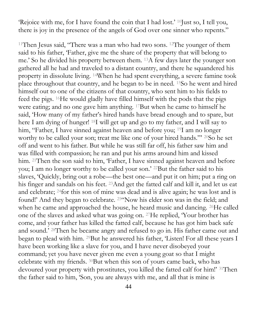'Rejoice with me, for I have found the coin that I had lost.' <sup>10</sup>Just so, I tell you, there is joy in the presence of the angels of God over one sinner who repents."

<sup>11</sup>Then Jesus said, "There was a man who had two sons. <sup>12</sup>The younger of them said to his father, 'Father, give me the share of the property that will belong to me.' So he divided his property between them. <sup>13</sup>A few days later the younger son gathered all he had and traveled to a distant country, and there he squandered his property in dissolute living. <sup>14</sup>When he had spent everything, a severe famine took place throughout that country, and he began to be in need. <sup>15</sup>So he went and hired himself out to one of the citizens of that country, who sent him to his fields to feed the pigs. <sup>16</sup>He would gladly have filled himself with the pods that the pigs were eating; and no one gave him anything. <sup>17</sup>But when he came to himself he said, 'How many of my father's hired hands have bread enough and to spare, but here I am dying of hunger! <sup>18</sup>I will get up and go to my father, and I will say to him, "Father, I have sinned against heaven and before you; <sup>19</sup>I am no longer worthy to be called your son; treat me like one of your hired hands."' <sup>20</sup>So he set off and went to his father. But while he was still far off, his father saw him and was filled with compassion; he ran and put his arms around him and kissed him. <sup>21</sup>Then the son said to him, 'Father, I have sinned against heaven and before you; I am no longer worthy to be called your son.' <sup>22</sup>But the father said to his slaves, 'Quickly, bring out a robe—the best one—and put it on him; put a ring on his finger and sandals on his feet. <sup>23</sup>And get the fatted calf and kill it, and let us eat and celebrate; <sup>24</sup>for this son of mine was dead and is alive again; he was lost and is found!' And they began to celebrate. <sup>25</sup>"Now his elder son was in the field; and when he came and approached the house, he heard music and dancing. <sup>26</sup>He called one of the slaves and asked what was going on. <sup>27</sup>He replied, 'Your brother has come, and your father has killed the fatted calf, because he has got him back safe and sound.' <sup>28</sup>Then he became angry and refused to go in. His father came out and began to plead with him. <sup>29</sup>But he answered his father, 'Listen! For all these years I have been working like a slave for you, and I have never disobeyed your command; yet you have never given me even a young goat so that I might celebrate with my friends. <sup>30</sup>But when this son of yours came back, who has devoured your property with prostitutes, you killed the fatted calf for him!' <sup>31</sup>Then the father said to him, 'Son, you are always with me, and all that is mine is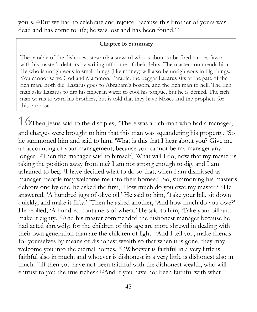yours. <sup>32</sup>But we had to celebrate and rejoice, because this brother of yours was dead and has come to life; he was lost and has been found.'"

#### **Chapter 16 Summary**

The parable of the dishonest steward: a steward who is about to be fired curries favor with his master's debtors by writing off some of their debts. The master commends him. He who is unrighteous in small things (like money) will also be unrighteous in big things. You cannot serve God and Mammon. Parable: the beggar Lazarus sits at the gate of the rich man. Both die: Lazarus goes to Abraham's bosom, and the rich man to hell. The rich man asks Lazarus to dip his finger in water to cool his tongue, but he is denied. The rich man warns to warn his brothers, but is told that they have Moses and the prophets for this purpose.

 $16$ Then Jesus said to the disciples, "There was a rich man who had a manager, and charges were brought to him that this man was squandering his property. <sup>2</sup>So he summoned him and said to him, 'What is this that I hear about you? Give me an accounting of your management, because you cannot be my manager any longer.' <sup>3</sup>Then the manager said to himself, 'What will I do, now that my master is taking the position away from me? I am not strong enough to dig, and I am ashamed to beg. <sup>4</sup>I have decided what to do so that, when I am dismissed as manager, people may welcome me into their homes.' <sup>5</sup>So, summoning his master's debtors one by one, he asked the first, 'How much do you owe my master?' <sup>6</sup>He answered, 'A hundred jugs of olive oil.' He said to him, 'Take your bill, sit down quickly, and make it fifty.' <sup>7</sup>Then he asked another, 'And how much do you owe?' He replied, 'A hundred containers of wheat.' He said to him, 'Take your bill and make it eighty.' <sup>8</sup>And his master commended the dishonest manager because he had acted shrewdly; for the children of this age are more shrewd in dealing with their own generation than are the children of light. <sup>9</sup>And I tell you, make friends for yourselves by means of dishonest wealth so that when it is gone, they may welcome you into the eternal homes. <sup>10"</sup>Whoever is faithful in a very little is faithful also in much; and whoever is dishonest in a very little is dishonest also in much. <sup>11</sup>If then you have not been faithful with the dishonest wealth, who will entrust to you the true riches? <sup>12</sup>And if you have not been faithful with what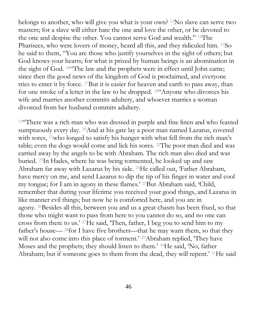belongs to another, who will give you what is your own? <sup>13</sup>No slave can serve two masters; for a slave will either hate the one and love the other, or be devoted to the one and despise the other. You cannot serve God and wealth." <sup>14</sup>The Pharisees, who were lovers of money, heard all this, and they ridiculed him. <sup>15</sup>So he said to them, "You are those who justify yourselves in the sight of others; but God knows your hearts; for what is prized by human beings is an abomination in the sight of God. <sup>16</sup>"The law and the prophets were in effect until John came; since then the good news of the kingdom of God is proclaimed, and everyone tries to enter it by force. <sup>17</sup>But it is easier for heaven and earth to pass away, than for one stroke of a letter in the law to be dropped. <sup>18</sup>"Anyone who divorces his wife and marries another commits adultery, and whoever marries a woman divorced from her husband commits adultery.

<sup>19"</sup>There was a rich man who was dressed in purple and fine linen and who feasted sumptuously every day. <sup>20</sup>And at his gate lay a poor man named Lazarus, covered with sores, <sup>21</sup>who longed to satisfy his hunger with what fell from the rich man's table; even the dogs would come and lick his sores. <sup>22</sup>The poor man died and was carried away by the angels to be with Abraham. The rich man also died and was buried. <sup>23</sup>In Hades, where he was being tormented, he looked up and saw Abraham far away with Lazarus by his side. <sup>24</sup>He called out, 'Father Abraham, have mercy on me, and send Lazarus to dip the tip of his finger in water and cool my tongue; for I am in agony in these flames.' <sup>25</sup>But Abraham said, 'Child, remember that during your lifetime you received your good things, and Lazarus in like manner evil things; but now he is comforted here, and you are in agony. <sup>26</sup>Besides all this, between you and us a great chasm has been fixed, so that those who might want to pass from here to you cannot do so, and no one can cross from there to us.' <sup>27</sup>He said, 'Then, father, I beg you to send him to my father's house— <sup>28</sup>for I have five brothers—that he may warn them, so that they will not also come into this place of torment.' <sup>29</sup>Abraham replied, 'They have Moses and the prophets; they should listen to them.' <sup>30</sup>He said, 'No, father Abraham; but if someone goes to them from the dead, they will repent.' <sup>31</sup>He said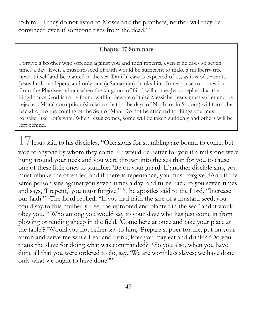to him, 'If they do not listen to Moses and the prophets, neither will they be convinced even if someone rises from the dead.'"

#### **Chapter 17 Summary**

Forgive a brother who offends against you and then repents, even if he does so seven times a day. Even a mustard-seed of faith would be sufficient to make a mulberry tree uproot itself and be planted in the sea. Dutiful care is expected of us, as it is of servants. Jesus heals ten lepers, and only one (a Samaritan) thanks him. In response to a question from the Pharisees about when the kingdom of God will come, Jesus replies that the kingdom of God is to be found within. Beware of false Messiahs. Jesus must suffer and be rejected. Moral corruption (similar to that in the days of Noah, or in Sodom) will form the backdrop to the coming of the Son of Man. Do not be attached to things you must forsake, like Lot's wife. When Jesus comes, some will be taken suddenly and others will be left behind.

 $17$ Jesus said to his disciples, "Occasions for stumbling are bound to come, but woe to anyone by whom they come! <sup>2</sup>It would be better for you if a millstone were hung around your neck and you were thrown into the sea than for you to cause one of these little ones to stumble. <sup>3</sup>Be on your guard! If another disciple sins, you must rebuke the offender, and if there is repentance, you must forgive. <sup>4</sup>And if the same person sins against you seven times a day, and turns back to you seven times and says, 'I repent,' you must forgive." <sup>5</sup>The apostles said to the Lord, "Increase our faith!" <sup>6</sup>The Lord replied, "If you had faith the size of a mustard seed, you could say to this mulberry tree, 'Be uprooted and planted in the sea,' and it would obey you. <sup>7</sup>"Who among you would say to your slave who has just come in from plowing or tending sheep in the field, 'Come here at once and take your place at the table'? <sup>8</sup>Would you not rather say to him, 'Prepare supper for me, put on your apron and serve me while I eat and drink; later you may eat and drink'? <sup>9</sup>Do you thank the slave for doing what was commanded? <sup>10</sup>So you also, when you have done all that you were ordered to do, say, 'We are worthless slaves; we have done only what we ought to have done!'"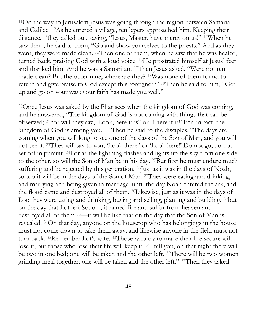<sup>11</sup>On the way to Jerusalem Jesus was going through the region between Samaria and Galilee. <sup>12</sup>As he entered a village, ten lepers approached him. Keeping their distance, <sup>13</sup>they called out, saying, "Jesus, Master, have mercy on us!" <sup>14</sup>When he saw them, he said to them, "Go and show yourselves to the priests." And as they went, they were made clean. <sup>15</sup>Then one of them, when he saw that he was healed, turned back, praising God with a loud voice. <sup>16</sup>He prostrated himself at Jesus' feet and thanked him. And he was a Samaritan. <sup>17</sup>Then Jesus asked, "Were not ten made clean? But the other nine, where are they? <sup>18</sup>Was none of them found to return and give praise to God except this foreigner?" <sup>19</sup>Then he said to him, "Get up and go on your way; your faith has made you well."

<sup>20</sup>Once Jesus was asked by the Pharisees when the kingdom of God was coming, and he answered, "The kingdom of God is not coming with things that can be observed; <sup>21</sup>nor will they say, 'Look, here it is!' or 'There it is!' For, in fact, the kingdom of God is among you." <sup>22</sup>Then he said to the disciples, "The days are coming when you will long to see one of the days of the Son of Man, and you will not see it. <sup>23</sup>They will say to you, 'Look there!' or 'Look here!' Do not go, do not set off in pursuit. <sup>24</sup>For as the lightning flashes and lights up the sky from one side to the other, so will the Son of Man be in his day. <sup>25</sup>But first he must endure much suffering and be rejected by this generation. <sup>26</sup>Just as it was in the days of Noah, so too it will be in the days of the Son of Man. <sup>27</sup>They were eating and drinking, and marrying and being given in marriage, until the day Noah entered the ark, and the flood came and destroyed all of them. <sup>28</sup>Likewise, just as it was in the days of Lot: they were eating and drinking, buying and selling, planting and building, <sup>29</sup>but on the day that Lot left Sodom, it rained fire and sulfur from heaven and destroyed all of them <sup>30</sup>—it will be like that on the day that the Son of Man is revealed. <sup>31</sup>On that day, anyone on the housetop who has belongings in the house must not come down to take them away; and likewise anyone in the field must not turn back. <sup>32</sup>Remember Lot's wife. <sup>33</sup>Those who try to make their life secure will lose it, but those who lose their life will keep it. <sup>34</sup>I tell you, on that night there will be two in one bed; one will be taken and the other left. <sup>35</sup>There will be two women grinding meal together; one will be taken and the other left." <sup>37</sup>Then they asked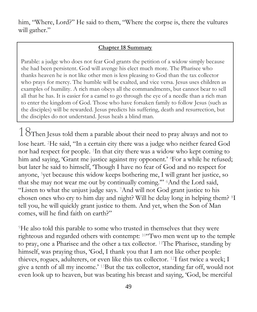him, "Where, Lord?" He said to them, "Where the corpse is, there the vultures will gather."

#### **Chapter 18 Summary**

Parable: a judge who does not fear God grants the petition of a widow simply because she had been persistent. God will avenge his elect much more. The Pharisee who thanks heaven he is not like other men is less pleasing to God than the tax collector who prays for mercy. The humble will be exalted, and vice versa. Jesus uses children as examples of humility. A rich man obeys all the commandments, but cannot bear to sell all that he has. It is easier for a camel to go through the eye of a needle than a rich man to enter the kingdom of God. Those who have forsaken family to follow Jesus (such as the disciples) will be rewarded. Jesus predicts his suffering, death and resurrection, but the disciples do not understand. Jesus heals a blind man.

 $18$ Then Jesus told them a parable about their need to pray always and not to lose heart. <sup>2</sup>He said, "In a certain city there was a judge who neither feared God nor had respect for people. <sup>3</sup>In that city there was a widow who kept coming to him and saying, 'Grant me justice against my opponent.' <sup>4</sup>For a while he refused; but later he said to himself, 'Though I have no fear of God and no respect for anyone, <sup>5</sup>yet because this widow keeps bothering me, I will grant her justice, so that she may not wear me out by continually coming.'" <sup>6</sup>And the Lord said, "Listen to what the unjust judge says. <sup>7</sup>And will not God grant justice to his chosen ones who cry to him day and night? Will he delay long in helping them? <sup>8</sup>I tell you, he will quickly grant justice to them. And yet, when the Son of Man comes, will he find faith on earth?"

<sup>9</sup>He also told this parable to some who trusted in themselves that they were righteous and regarded others with contempt: <sup>10</sup>"Two men went up to the temple to pray, one a Pharisee and the other a tax collector. <sup>11</sup>The Pharisee, standing by himself, was praying thus, 'God, I thank you that I am not like other people: thieves, rogues, adulterers, or even like this tax collector. <sup>12</sup>I fast twice a week; I give a tenth of all my income.' <sup>13</sup>But the tax collector, standing far off, would not even look up to heaven, but was beating his breast and saying, 'God, be merciful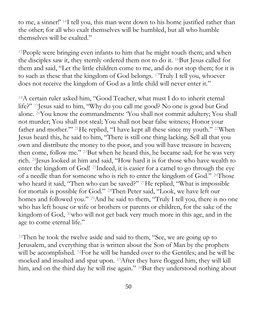to me, a sinner!' <sup>14</sup>I tell you, this man went down to his home justified rather than the other; for all who exalt themselves will be humbled, but all who humble themselves will be exalted."

<sup>15</sup>People were bringing even infants to him that he might touch them; and when the disciples saw it, they sternly ordered them not to do it. <sup>16</sup>But Jesus called for them and said, "Let the little children come to me, and do not stop them; for it is to such as these that the kingdom of God belongs. <sup>17</sup>Truly I tell you, whoever does not receive the kingdom of God as a little child will never enter it."

<sup>18</sup>A certain ruler asked him, "Good Teacher, what must I do to inherit eternal life?" <sup>19</sup>Jesus said to him, "Why do you call me good? No one is good but God alone. <sup>20</sup>You know the commandments: 'You shall not commit adultery; You shall not murder; You shall not steal; You shall not bear false witness; Honor your father and mother.'" <sup>21</sup>He replied, "I have kept all these since my youth." <sup>22</sup>When Jesus heard this, he said to him, "There is still one thing lacking. Sell all that you own and distribute the money to the poor, and you will have treasure in heaven; then come, follow me." <sup>23</sup>But when he heard this, he became sad; for he was very rich. <sup>24</sup>Jesus looked at him and said, "How hard it is for those who have wealth to enter the kingdom of God! <sup>25</sup>Indeed, it is easier for a camel to go through the eye of a needle than for someone who is rich to enter the kingdom of God." <sup>26</sup>Those who heard it said, "Then who can be saved?" <sup>27</sup>He replied, "What is impossible for mortals is possible for God." <sup>28</sup>Then Peter said, "Look, we have left our homes and followed you." <sup>29</sup>And he said to them, "Truly I tell you, there is no one who has left house or wife or brothers or parents or children, for the sake of the kingdom of God, <sup>30</sup>who will not get back very much more in this age, and in the age to come eternal life."

<sup>31</sup>Then he took the twelve aside and said to them, "See, we are going up to Jerusalem, and everything that is written about the Son of Man by the prophets will be accomplished. <sup>32</sup>For he will be handed over to the Gentiles; and he will be mocked and insulted and spat upon. <sup>33</sup>After they have flogged him, they will kill him, and on the third day he will rise again." <sup>34</sup>But they understood nothing about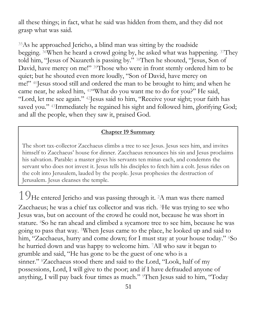all these things; in fact, what he said was hidden from them, and they did not grasp what was said.

<sup>35</sup>As he approached Jericho, a blind man was sitting by the roadside begging. <sup>36</sup>When he heard a crowd going by, he asked what was happening. <sup>37</sup>They told him, "Jesus of Nazareth is passing by." <sup>38</sup>Then he shouted, "Jesus, Son of David, have mercy on me!" <sup>39</sup>Those who were in front sternly ordered him to be quiet; but he shouted even more loudly, "Son of David, have mercy on me!" <sup>40</sup>Jesus stood still and ordered the man to be brought to him; and when he came near, he asked him, <sup>41</sup>"What do you want me to do for you?" He said, "Lord, let me see again." <sup>42</sup>Jesus said to him, "Receive your sight; your faith has saved you." <sup>43</sup>Immediately he regained his sight and followed him, glorifying God; and all the people, when they saw it, praised God.

#### **Chapter 19 Summary**

The short tax-collector Zacchaeus climbs a tree to see Jesus. Jesus sees him, and invites himself to Zacchaeus' house for dinner. Zacchaeus renounces his sin and Jesus proclaims his salvation. Parable: a master gives his servants ten minas each, and condemns the servant who does not invest it. Jesus tells his disciples to fetch him a colt. Jesus rides on the colt into Jerusalem, lauded by the people. Jesus prophesies the destruction of Jerusalem. Jesus cleanses the temple.

19He entered Jericho and was passing through it. <sup>2</sup>A man was there named Zacchaeus; he was a chief tax collector and was rich. <sup>3</sup>He was trying to see who Jesus was, but on account of the crowd he could not, because he was short in stature. <sup>4</sup>So he ran ahead and climbed a sycamore tree to see him, because he was going to pass that way. <sup>5</sup>When Jesus came to the place, he looked up and said to him, "Zacchaeus, hurry and come down; for I must stay at your house today." <sup>6</sup>So he hurried down and was happy to welcome him. <sup>7</sup>All who saw it began to grumble and said, "He has gone to be the guest of one who is a sinner." <sup>8</sup>Zacchaeus stood there and said to the Lord, "Look, half of my possessions, Lord, I will give to the poor; and if I have defrauded anyone of anything, I will pay back four times as much." <sup>9</sup>Then Jesus said to him, "Today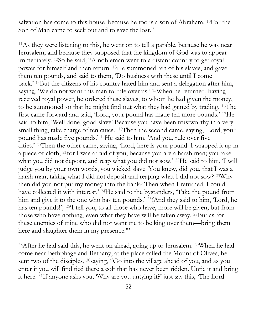salvation has come to this house, because he too is a son of Abraham. <sup>10</sup>For the Son of Man came to seek out and to save the lost."

<sup>11</sup>As they were listening to this, he went on to tell a parable, because he was near Jerusalem, and because they supposed that the kingdom of God was to appear immediately. <sup>12</sup>So he said, "A nobleman went to a distant country to get royal power for himself and then return. <sup>13</sup>He summoned ten of his slaves, and gave them ten pounds, and said to them, 'Do business with these until I come back.' <sup>14</sup>But the citizens of his country hated him and sent a delegation after him, saying, 'We do not want this man to rule over us.' <sup>15</sup>When he returned, having received royal power, he ordered these slaves, to whom he had given the money, to be summoned so that he might find out what they had gained by trading. <sup>16</sup>The first came forward and said, 'Lord, your pound has made ten more pounds.' <sup>17</sup>He said to him, 'Well done, good slave! Because you have been trustworthy in a very small thing, take charge of ten cities.' <sup>18</sup>Then the second came, saying, 'Lord, your pound has made five pounds.' <sup>19</sup>He said to him, 'And you, rule over five cities.' <sup>20</sup>Then the other came, saying, 'Lord, here is your pound. I wrapped it up in a piece of cloth, <sup>21</sup>for I was afraid of you, because you are a harsh man; you take what you did not deposit, and reap what you did not sow.' <sup>22</sup>He said to him, 'I will judge you by your own words, you wicked slave! You knew, did you, that I was a harsh man, taking what I did not deposit and reaping what I did not sow? <sup>23</sup>Why then did you not put my money into the bank? Then when I returned, I could have collected it with interest.' <sup>24</sup>He said to the bystanders, 'Take the pound from him and give it to the one who has ten pounds.' <sup>25</sup>(And they said to him, 'Lord, he has ten pounds!') <sup>26</sup>'I tell you, to all those who have, more will be given; but from those who have nothing, even what they have will be taken away. <sup>27</sup>But as for these enemies of mine who did not want me to be king over them—bring them here and slaughter them in my presence."

<sup>28</sup>After he had said this, he went on ahead, going up to Jerusalem. <sup>29</sup>When he had come near Bethphage and Bethany, at the place called the Mount of Olives, he sent two of the disciples, <sup>30</sup>saying, "Go into the village ahead of you, and as you enter it you will find tied there a colt that has never been ridden. Untie it and bring it here. <sup>31</sup>If anyone asks you, 'Why are you untying it?' just say this, 'The Lord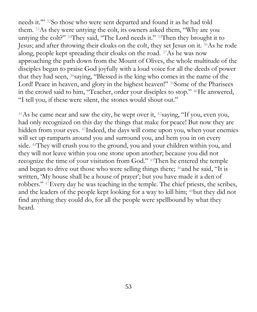needs it.'" <sup>32</sup>So those who were sent departed and found it as he had told them. <sup>33</sup>As they were untying the colt, its owners asked them, "Why are you untying the colt?" <sup>34</sup>They said, "The Lord needs it." <sup>35</sup>Then they brought it to Jesus; and after throwing their cloaks on the colt, they set Jesus on it. <sup>36</sup>As he rode along, people kept spreading their cloaks on the road. <sup>37</sup>As he was now approaching the path down from the Mount of Olives, the whole multitude of the disciples began to praise God joyfully with a loud voice for all the deeds of power that they had seen, <sup>38</sup>saying, "Blessed is the king who comes in the name of the Lord! Peace in heaven, and glory in the highest heaven!" <sup>39</sup>Some of the Pharisees in the crowd said to him, "Teacher, order your disciples to stop." <sup>40</sup>He answered, "I tell you, if these were silent, the stones would shout out."

<sup>41</sup>As he came near and saw the city, he wept over it,  $42$ saying, "If you, even you, had only recognized on this day the things that make for peace! But now they are hidden from your eyes. <sup>43</sup>Indeed, the days will come upon you, when your enemies will set up ramparts around you and surround you, and hem you in on every side. <sup>44</sup>They will crush you to the ground, you and your children within you, and they will not leave within you one stone upon another; because you did not recognize the time of your visitation from God." <sup>45</sup>Then he entered the temple and began to drive out those who were selling things there; <sup>46</sup>and he said, "It is written, 'My house shall be a house of prayer'; but you have made it a den of robbers." <sup>47</sup>Every day he was teaching in the temple. The chief priests, the scribes, and the leaders of the people kept looking for a way to kill him; <sup>48</sup>but they did not find anything they could do, for all the people were spellbound by what they heard.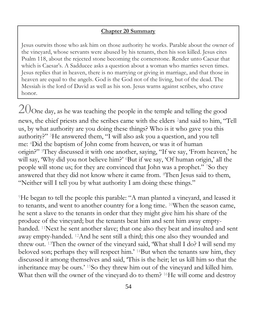#### **Chapter 20 Summary**

Jesus outwits those who ask him on those authority he works. Parable about the owner of the vineyard, whose servants were abused by his tenants, then his son killed. Jesus cites Psalm 118, about the rejected stone becoming the cornerstone. Render unto Caesar that which is Caesar's. A Sadducee asks a question about a woman who marries seven times. Jesus replies that in heaven, there is no marrying or giving in marriage, and that those in heaven are equal to the angels. God is the God not of the living, but of the dead. The Messiah is the lord of David as well as his son. Jesus warns against scribes, who crave honor.

 $20$ One day, as he was teaching the people in the temple and telling the good news, the chief priests and the scribes came with the elders <sup>2</sup>and said to him, "Tell us, by what authority are you doing these things? Who is it who gave you this authority?" <sup>3</sup>He answered them, "I will also ask you a question, and you tell me: <sup>4</sup>Did the baptism of John come from heaven, or was it of human origin?" <sup>5</sup>They discussed it with one another, saying, "If we say, 'From heaven,' he will say, 'Why did you not believe him?' <sup>6</sup>But if we say, 'Of human origin,' all the people will stone us; for they are convinced that John was a prophet." <sup>7</sup>So they answered that they did not know where it came from. <sup>8</sup>Then Jesus said to them, "Neither will I tell you by what authority I am doing these things."

<sup>9</sup>He began to tell the people this parable: "A man planted a vineyard, and leased it to tenants, and went to another country for a long time. <sup>10</sup>When the season came, he sent a slave to the tenants in order that they might give him his share of the produce of the vineyard; but the tenants beat him and sent him away emptyhanded. <sup>11</sup>Next he sent another slave; that one also they beat and insulted and sent away empty-handed. <sup>12</sup>And he sent still a third; this one also they wounded and threw out. <sup>13</sup>Then the owner of the vineyard said, 'What shall I do? I will send my beloved son; perhaps they will respect him.' <sup>14</sup>But when the tenants saw him, they discussed it among themselves and said, 'This is the heir; let us kill him so that the inheritance may be ours.' <sup>15</sup>So they threw him out of the vineyard and killed him. What then will the owner of the vineyard do to them? <sup>16</sup>He will come and destroy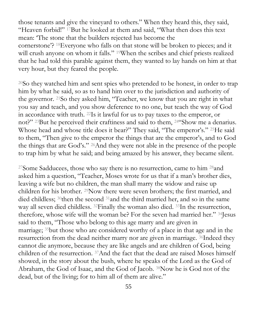those tenants and give the vineyard to others." When they heard this, they said, "Heaven forbid!" <sup>17</sup>But he looked at them and said, "What then does this text mean: 'The stone that the builders rejected has become the cornerstone'? <sup>18</sup>Everyone who falls on that stone will be broken to pieces; and it will crush anyone on whom it falls." <sup>19</sup>When the scribes and chief priests realized that he had told this parable against them, they wanted to lay hands on him at that very hour, but they feared the people.

<sup>20</sup>So they watched him and sent spies who pretended to be honest, in order to trap him by what he said, so as to hand him over to the jurisdiction and authority of the governor. <sup>21</sup>So they asked him, "Teacher, we know that you are right in what you say and teach, and you show deference to no one, but teach the way of God in accordance with truth. <sup>22</sup>Is it lawful for us to pay taxes to the emperor, or not?" <sup>23</sup>But he perceived their craftiness and said to them, <sup>24</sup>"Show me a denarius. Whose head and whose title does it bear?" They said, "The emperor's." <sup>25</sup>He said to them, "Then give to the emperor the things that are the emperor's, and to God the things that are God's." <sup>26</sup>And they were not able in the presence of the people to trap him by what he said; and being amazed by his answer, they became silent.

<sup>27</sup>Some Sadducees, those who say there is no resurrection, came to him <sup>28</sup>and asked him a question, "Teacher, Moses wrote for us that if a man's brother dies, leaving a wife but no children, the man shall marry the widow and raise up children for his brother. <sup>29</sup>Now there were seven brothers; the first married, and died childless; <sup>30</sup>then the second <sup>31</sup>and the third married her, and so in the same way all seven died childless. <sup>32</sup>Finally the woman also died. <sup>33</sup>In the resurrection, therefore, whose wife will the woman be? For the seven had married her." <sup>34</sup>Jesus said to them, "Those who belong to this age marry and are given in marriage; <sup>35</sup>but those who are considered worthy of a place in that age and in the resurrection from the dead neither marry nor are given in marriage. <sup>36</sup>Indeed they cannot die anymore, because they are like angels and are children of God, being children of the resurrection. <sup>37</sup>And the fact that the dead are raised Moses himself showed, in the story about the bush, where he speaks of the Lord as the God of Abraham, the God of Isaac, and the God of Jacob. <sup>38</sup>Now he is God not of the dead, but of the living; for to him all of them are alive."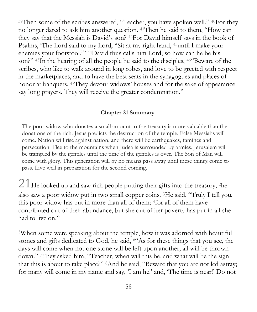<sup>39</sup>Then some of the scribes answered, "Teacher, you have spoken well." <sup>40</sup>For they no longer dared to ask him another question. <sup>41</sup>Then he said to them, "How can they say that the Messiah is David's son? <sup>42</sup>For David himself says in the book of Psalms, 'The Lord said to my Lord, "Sit at my right hand, <sup>43</sup>until I make your enemies your footstool."' <sup>44</sup>David thus calls him Lord; so how can he be his son?" 45In the hearing of all the people he said to the disciples, 46 Beware of the scribes, who like to walk around in long robes, and love to be greeted with respect in the marketplaces, and to have the best seats in the synagogues and places of honor at banquets. <sup>47</sup>They devour widows' houses and for the sake of appearance say long prayers. They will receive the greater condemnation."

#### **Chapter 21 Summary**

The poor widow who donates a small amount to the treasury is more valuable than the donations of the rich. Jesus predicts the destruction of the temple. False Messiahs will come. Nation will rise against nation, and there will be earthquakes, famines and persecution. Flee to the mountains when Judea is surrounded by armies. Jerusalem will be trampled by the gentiles until the time of the gentiles is over. The Son of Man will come with glory. This generation will by no means pass away until these things come to pass. Live well in preparation for the second coming.

 $21$  He looked up and saw rich people putting their gifts into the treasury; <sup>2</sup>he also saw a poor widow put in two small copper coins. <sup>3</sup>He said, "Truly I tell you, this poor widow has put in more than all of them; <sup>4</sup>for all of them have contributed out of their abundance, but she out of her poverty has put in all she had to live on."

<sup>5</sup>When some were speaking about the temple, how it was adorned with beautiful stones and gifts dedicated to God, he said, <sup>6</sup>"As for these things that you see, the days will come when not one stone will be left upon another; all will be thrown down." <sup>7</sup>They asked him, "Teacher, when will this be, and what will be the sign that this is about to take place?" <sup>8</sup>And he said, "Beware that you are not led astray; for many will come in my name and say, 'I am he!' and, 'The time is near!' Do not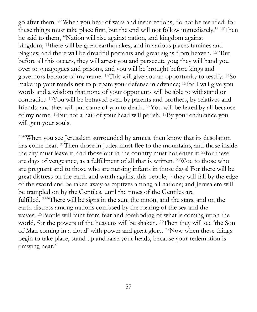go after them. <sup>9</sup>"When you hear of wars and insurrections, do not be terrified; for these things must take place first, but the end will not follow immediately." <sup>10</sup>Then he said to them, "Nation will rise against nation, and kingdom against kingdom; <sup>11</sup>there will be great earthquakes, and in various places famines and plagues; and there will be dreadful portents and great signs from heaven. <sup>12</sup>"But before all this occurs, they will arrest you and persecute you; they will hand you over to synagogues and prisons, and you will be brought before kings and governors because of my name. <sup>13</sup>This will give you an opportunity to testify. <sup>14</sup>So make up your minds not to prepare your defense in advance; <sup>15</sup>for I will give you words and a wisdom that none of your opponents will be able to withstand or contradict. <sup>16</sup>You will be betrayed even by parents and brothers, by relatives and friends; and they will put some of you to death. <sup>17</sup>You will be hated by all because of my name. <sup>18</sup>But not a hair of your head will perish. <sup>19</sup>By your endurance you will gain your souls.

<sup>20</sup>"When you see Jerusalem surrounded by armies, then know that its desolation has come near. <sup>21</sup>Then those in Judea must flee to the mountains, and those inside the city must leave it, and those out in the country must not enter it; <sup>22</sup>for these are days of vengeance, as a fulfillment of all that is written. <sup>23</sup>Woe to those who are pregnant and to those who are nursing infants in those days! For there will be great distress on the earth and wrath against this people; <sup>24</sup>they will fall by the edge of the sword and be taken away as captives among all nations; and Jerusalem will be trampled on by the Gentiles, until the times of the Gentiles are fulfilled. <sup>25</sup>"There will be signs in the sun, the moon, and the stars, and on the earth distress among nations confused by the roaring of the sea and the waves. <sup>26</sup>People will faint from fear and foreboding of what is coming upon the world, for the powers of the heavens will be shaken. <sup>27</sup>Then they will see 'the Son of Man coming in a cloud' with power and great glory. <sup>28</sup>Now when these things begin to take place, stand up and raise your heads, because your redemption is drawing near."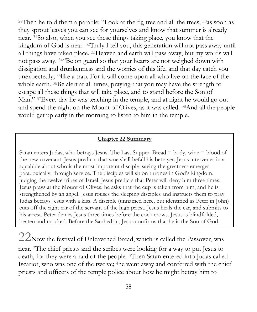<sup>29</sup>Then he told them a parable: "Look at the fig tree and all the trees;  $30$  as soon as they sprout leaves you can see for yourselves and know that summer is already near. <sup>31</sup>So also, when you see these things taking place, you know that the kingdom of God is near. <sup>32</sup>Truly I tell you, this generation will not pass away until all things have taken place. <sup>33</sup>Heaven and earth will pass away, but my words will not pass away. <sup>34</sup>"Be on guard so that your hearts are not weighed down with dissipation and drunkenness and the worries of this life, and that day catch you unexpectedly, <sup>35</sup>like a trap. For it will come upon all who live on the face of the whole earth. <sup>36</sup>Be alert at all times, praying that you may have the strength to escape all these things that will take place, and to stand before the Son of Man." <sup>37</sup>Every day he was teaching in the temple, and at night he would go out and spend the night on the Mount of Olives, as it was called. <sup>38</sup>And all the people would get up early in the morning to listen to him in the temple.

#### **Chapter 22 Summary**

Satan enters Judas, who betrays Jesus. The Last Supper. Bread = body, wine = blood of the new covenant. Jesus predicts that woe shall befall his betrayer. Jesus intervenes in a squabble about who is the most important disciple, saying the greatness emerges paradoxically, through service. The disciples will sit on thrones in God's kingdom, judging the twelve tribes of Israel. Jesus predicts that Peter will deny him three times. Jesus prays at the Mount of Olives: he asks that the cup is taken from him, and he is strengthened by an angel. Jesus rouses the sleeping disciples and instructs them to pray. Judas betrays Jesus with a kiss. A disciple (unnamed here, but identified as Peter in John) cuts off the right ear of the servant of the high priest. Jesus heals the ear, and submits to his arrest. Peter denies Jesus three times before the cock crows. Jesus is blindfolded, beaten and mocked. Before the Sanhedrin, Jesus confirms that he is the Son of God.

 $22$ Now the festival of Unleavened Bread, which is called the Passover, was near. <sup>2</sup>The chief priests and the scribes were looking for a way to put Jesus to death, for they were afraid of the people. <sup>3</sup>Then Satan entered into Judas called Iscariot, who was one of the twelve; <sup>4</sup>he went away and conferred with the chief priests and officers of the temple police about how he might betray him to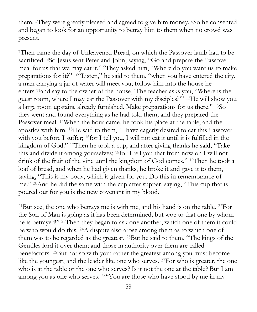them. <sup>5</sup>They were greatly pleased and agreed to give him money. <sup>6</sup>So he consented and began to look for an opportunity to betray him to them when no crowd was present.

<sup>7</sup>Then came the day of Unleavened Bread, on which the Passover lamb had to be sacrificed. <sup>8</sup>So Jesus sent Peter and John, saying, "Go and prepare the Passover meal for us that we may eat it." They asked him, "Where do you want us to make preparations for it?" <sup>10</sup>"Listen," he said to them, "when you have entered the city, a man carrying a jar of water will meet you; follow him into the house he enters <sup>11</sup>and say to the owner of the house, 'The teacher asks you, "Where is the guest room, where I may eat the Passover with my disciples?"' <sup>12</sup>He will show you a large room upstairs, already furnished. Make preparations for us there." <sup>13</sup>So they went and found everything as he had told them; and they prepared the Passover meal. <sup>14</sup>When the hour came, he took his place at the table, and the apostles with him. <sup>15</sup>He said to them, "I have eagerly desired to eat this Passover with you before I suffer; <sup>16</sup>for I tell you, I will not eat it until it is fulfilled in the kingdom of God." <sup>17</sup>Then he took a cup, and after giving thanks he said, "Take this and divide it among yourselves; <sup>18</sup>for I tell you that from now on I will not drink of the fruit of the vine until the kingdom of God comes." <sup>19</sup>Then he took a loaf of bread, and when he had given thanks, he broke it and gave it to them, saying, "This is my body, which is given for you. Do this in remembrance of me." <sup>20</sup>And he did the same with the cup after supper, saying, "This cup that is poured out for you is the new covenant in my blood.

<sup>21</sup>But see, the one who betrays me is with me, and his hand is on the table. <sup>22</sup>For the Son of Man is going as it has been determined, but woe to that one by whom he is betrayed!" <sup>23</sup>Then they began to ask one another, which one of them it could be who would do this. <sup>24</sup>A dispute also arose among them as to which one of them was to be regarded as the greatest. <sup>25</sup>But he said to them, "The kings of the Gentiles lord it over them; and those in authority over them are called benefactors. <sup>26</sup>But not so with you; rather the greatest among you must become like the youngest, and the leader like one who serves. <sup>27</sup>For who is greater, the one who is at the table or the one who serves? Is it not the one at the table? But I am among you as one who serves. <sup>28</sup>"You are those who have stood by me in my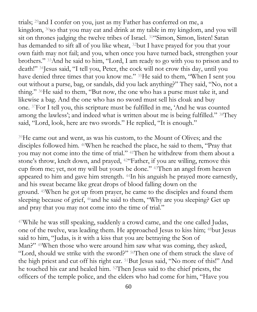trials; <sup>29</sup>and I confer on you, just as my Father has conferred on me, a kingdom, <sup>30</sup>so that you may eat and drink at my table in my kingdom, and you will sit on thrones judging the twelve tribes of Israel. <sup>31</sup>"Simon, Simon, listen! Satan has demanded to sift all of you like wheat, <sup>32</sup>but I have prayed for you that your own faith may not fail; and you, when once you have turned back, strengthen your brothers." <sup>33</sup>And he said to him, "Lord, I am ready to go with you to prison and to death!" <sup>34</sup>Jesus said, "I tell you, Peter, the cock will not crow this day, until you have denied three times that you know me." <sup>35</sup>He said to them, "When I sent you out without a purse, bag, or sandals, did you lack anything?" They said, "No, not a thing." <sup>36</sup>He said to them, "But now, the one who has a purse must take it, and likewise a bag. And the one who has no sword must sell his cloak and buy one. <sup>37</sup>For I tell you, this scripture must be fulfilled in me, 'And he was counted among the lawless'; and indeed what is written about me is being fulfilled." <sup>38</sup>They said, "Lord, look, here are two swords." He replied, "It is enough."

<sup>39</sup>He came out and went, as was his custom, to the Mount of Olives; and the disciples followed him. <sup>40</sup>When he reached the place, he said to them, "Pray that you may not come into the time of trial." <sup>41</sup>Then he withdrew from them about a stone's throw, knelt down, and prayed, <sup>42</sup>"Father, if you are willing, remove this cup from me; yet, not my will but yours be done." <sup>43</sup>Then an angel from heaven appeared to him and gave him strength. <sup>44</sup>In his anguish he prayed more earnestly, and his sweat became like great drops of blood falling down on the ground. <sup>45</sup>When he got up from prayer, he came to the disciples and found them sleeping because of grief, <sup>46</sup>and he said to them, "Why are you sleeping? Get up and pray that you may not come into the time of trial."

<sup>47</sup>While he was still speaking, suddenly a crowd came, and the one called Judas, one of the twelve, was leading them. He approached Jesus to kiss him; <sup>48</sup>but Jesus said to him, "Judas, is it with a kiss that you are betraying the Son of Man?" <sup>49</sup>When those who were around him saw what was coming, they asked, "Lord, should we strike with the sword?" <sup>50</sup>Then one of them struck the slave of the high priest and cut off his right ear. <sup>51</sup>But Jesus said, "No more of this!" And he touched his ear and healed him. <sup>52</sup>Then Jesus said to the chief priests, the officers of the temple police, and the elders who had come for him, "Have you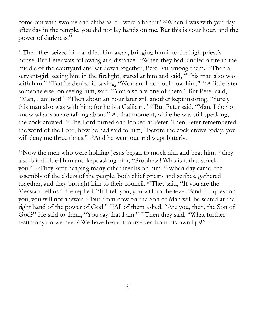come out with swords and clubs as if I were a bandit? <sup>53</sup>When I was with you day after day in the temple, you did not lay hands on me. But this is your hour, and the power of darkness!"

<sup>54</sup>Then they seized him and led him away, bringing him into the high priest's house. But Peter was following at a distance. <sup>55</sup>When they had kindled a fire in the middle of the courtyard and sat down together, Peter sat among them. <sup>56</sup>Then a servant-girl, seeing him in the firelight, stared at him and said, "This man also was with him." <sup>57</sup>But he denied it, saying, "Woman, I do not know him." <sup>58</sup>A little later someone else, on seeing him, said, "You also are one of them." But Peter said, "Man, I am not!" <sup>59</sup>Then about an hour later still another kept insisting, "Surely this man also was with him; for he is a Galilean." <sup>60</sup>But Peter said, "Man, I do not know what you are talking about!" At that moment, while he was still speaking, the cock crowed. <sup>61</sup>The Lord turned and looked at Peter. Then Peter remembered the word of the Lord, how he had said to him, "Before the cock crows today, you will deny me three times." <sup>62</sup>And he went out and wept bitterly.

 $63$ Now the men who were holding Jesus began to mock him and beat him;  $64$ they also blindfolded him and kept asking him, "Prophesy! Who is it that struck you?" <sup>65</sup>They kept heaping many other insults on him. <sup>66</sup>When day came, the assembly of the elders of the people, both chief priests and scribes, gathered together, and they brought him to their council. <sup>67</sup>They said, "If you are the Messiah, tell us." He replied, "If I tell you, you will not believe; <sup>68</sup>and if I question you, you will not answer. <sup>69</sup>But from now on the Son of Man will be seated at the right hand of the power of God." <sup>70</sup>All of them asked, "Are you, then, the Son of God?" He said to them, "You say that I am." <sup>71</sup>Then they said, "What further testimony do we need? We have heard it ourselves from his own lips!"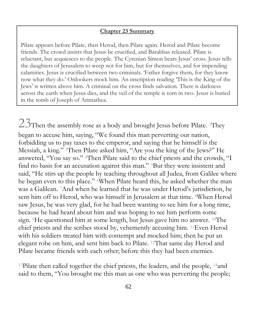#### **Chapter 23 Summary**

Pilate appears before Pilate, then Herod, then Pilate again. Herod and Pilate become friends. The crowd insists that Jesus be crucified, and Barabbas released. Pilate is reluctant, but acquiesces to the people. The Cyrenian Simon bears Jesus' cross. Jesus tells the daughters of Jerusalem to weep not for him, but for themselves, and for impending calamities. Jesus is crucified between two criminals. 'Father forgive them, for they know now what they do.' Onlookers mock him. An inscription reading 'This is the King of the Jews' is written above him. A criminal on the cross finds salvation. There is darkness across the earth when Jesus dies, and the veil of the temple is torn in two. Jesus is buried in the tomb of Joseph of Arimathea.

 $23$ Then the assembly rose as a body and brought Jesus before Pilate. <sup>2</sup>They began to accuse him, saying, "We found this man perverting our nation, forbidding us to pay taxes to the emperor, and saying that he himself is the Messiah, a king." <sup>3</sup>Then Pilate asked him, "Are you the king of the Jews?" He answered, "You say so." <sup>4</sup>Then Pilate said to the chief priests and the crowds, "I find no basis for an accusation against this man." <sup>5</sup>But they were insistent and said, "He stirs up the people by teaching throughout all Judea, from Galilee where he began even to this place." <sup>6</sup>When Pilate heard this, he asked whether the man was a Galilean. <sup>7</sup>And when he learned that he was under Herod's jurisdiction, he sent him off to Herod, who was himself in Jerusalem at that time. <sup>8</sup>When Herod saw Jesus, he was very glad, for he had been wanting to see him for a long time, because he had heard about him and was hoping to see him perform some sign. <sup>9</sup>He questioned him at some length, but Jesus gave him no answer. <sup>10</sup>The chief priests and the scribes stood by, vehemently accusing him. <sup>11</sup>Even Herod with his soldiers treated him with contempt and mocked him; then he put an elegant robe on him, and sent him back to Pilate. <sup>12</sup>That same day Herod and Pilate became friends with each other; before this they had been enemies.

<sup>13</sup>Pilate then called together the chief priests, the leaders, and the people, <sup>14</sup>and said to them, "You brought me this man as one who was perverting the people;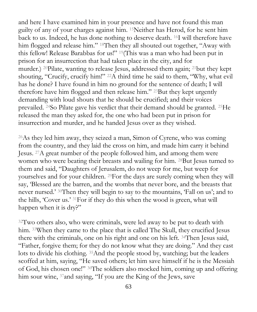and here I have examined him in your presence and have not found this man guilty of any of your charges against him. <sup>15</sup>Neither has Herod, for he sent him back to us. Indeed, he has done nothing to deserve death. <sup>16</sup>I will therefore have him flogged and release him." <sup>18</sup>Then they all shouted out together, "Away with this fellow! Release Barabbas for us!" <sup>19</sup>(This was a man who had been put in prison for an insurrection that had taken place in the city, and for murder.) <sup>20</sup>Pilate, wanting to release Jesus, addressed them again; <sup>21</sup>but they kept shouting, "Crucify, crucify him!" <sup>22</sup>A third time he said to them, "Why, what evil has he done? I have found in him no ground for the sentence of death; I will therefore have him flogged and then release him." <sup>23</sup>But they kept urgently demanding with loud shouts that he should be crucified; and their voices prevailed. <sup>24</sup>So Pilate gave his verdict that their demand should be granted. <sup>25</sup>He released the man they asked for, the one who had been put in prison for insurrection and murder, and he handed Jesus over as they wished.

<sup>26</sup>As they led him away, they seized a man, Simon of Cyrene, who was coming from the country, and they laid the cross on him, and made him carry it behind Jesus. <sup>27</sup>A great number of the people followed him, and among them were women who were beating their breasts and wailing for him. <sup>28</sup>But Jesus turned to them and said, "Daughters of Jerusalem, do not weep for me, but weep for yourselves and for your children. <sup>29</sup>For the days are surely coming when they will say, 'Blessed are the barren, and the wombs that never bore, and the breasts that never nursed.' <sup>30</sup>Then they will begin to say to the mountains, 'Fall on us'; and to the hills, 'Cover us.' <sup>31</sup>For if they do this when the wood is green, what will happen when it is dry?"

<sup>32</sup>Two others also, who were criminals, were led away to be put to death with him. 33When they came to the place that is called The Skull, they crucified Jesus there with the criminals, one on his right and one on his left. <sup>34</sup>Then Jesus said, "Father, forgive them; for they do not know what they are doing." And they cast lots to divide his clothing. <sup>35</sup>And the people stood by, watching; but the leaders scoffed at him, saying, "He saved others; let him save himself if he is the Messiah of God, his chosen one!" <sup>36</sup>The soldiers also mocked him, coming up and offering him sour wine, <sup>37</sup> and saying, "If you are the King of the Jews, save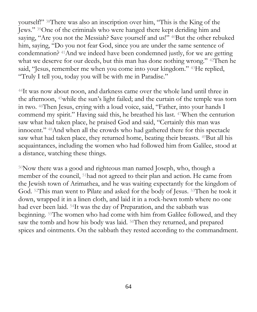yourself!" <sup>38</sup>There was also an inscription over him, "This is the King of the Jews." <sup>39</sup>One of the criminals who were hanged there kept deriding him and saying, "Are you not the Messiah? Save yourself and us!" <sup>40</sup>But the other rebuked him, saying, "Do you not fear God, since you are under the same sentence of condemnation? <sup>41</sup>And we indeed have been condemned justly, for we are getting what we deserve for our deeds, but this man has done nothing wrong." 42Then he said, "Jesus, remember me when you come into your kingdom." <sup>43</sup>He replied, "Truly I tell you, today you will be with me in Paradise."

<sup>44</sup>It was now about noon, and darkness came over the whole land until three in the afternoon, <sup>45</sup>while the sun's light failed; and the curtain of the temple was torn in two. <sup>46</sup>Then Jesus, crying with a loud voice, said, "Father, into your hands I commend my spirit." Having said this, he breathed his last. <sup>47</sup>When the centurion saw what had taken place, he praised God and said, "Certainly this man was innocent." <sup>48</sup>And when all the crowds who had gathered there for this spectacle saw what had taken place, they returned home, beating their breasts. <sup>49</sup>But all his acquaintances, including the women who had followed him from Galilee, stood at a distance, watching these things.

<sup>50</sup>Now there was a good and righteous man named Joseph, who, though a member of the council, <sup>51</sup>had not agreed to their plan and action. He came from the Jewish town of Arimathea, and he was waiting expectantly for the kingdom of God. <sup>52</sup>This man went to Pilate and asked for the body of Jesus. <sup>53</sup>Then he took it down, wrapped it in a linen cloth, and laid it in a rock-hewn tomb where no one had ever been laid. <sup>54</sup>It was the day of Preparation, and the sabbath was beginning. <sup>55</sup>The women who had come with him from Galilee followed, and they saw the tomb and how his body was laid. <sup>56</sup>Then they returned, and prepared spices and ointments. On the sabbath they rested according to the commandment.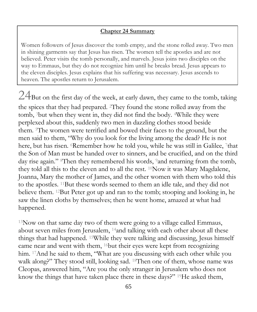#### **Chapter 24 Summary**

Women followers of Jesus discover the tomb empty, and the stone rolled away. Two men in shining garments say that Jesus has risen. The women tell the apostles and are not believed. Peter visits the tomb personally, and marvels. Jesus joins two disciples on the way to Emmaus, but they do not recognize him until he breaks bread. Jesus appears to the eleven disciples. Jesus explains that his suffering was necessary. Jesus ascends to heaven. The apostles return to Jerusalem.

 $24$ But on the first day of the week, at early dawn, they came to the tomb, taking the spices that they had prepared. <sup>2</sup>They found the stone rolled away from the tomb, <sup>3</sup>but when they went in, they did not find the body. <sup>4</sup>While they were perplexed about this, suddenly two men in dazzling clothes stood beside them. <sup>5</sup>The women were terrified and bowed their faces to the ground, but the men said to them, "Why do you look for the living among the dead? He is not here, but has risen. <sup>6</sup>Remember how he told you, while he was still in Galilee, <sup>7</sup>that the Son of Man must be handed over to sinners, and be crucified, and on the third day rise again." <sup>8</sup>Then they remembered his words, <sup>9</sup> and returning from the tomb, they told all this to the eleven and to all the rest. <sup>10</sup>Now it was Mary Magdalene, Joanna, Mary the mother of James, and the other women with them who told this to the apostles. <sup>11</sup>But these words seemed to them an idle tale, and they did not believe them. <sup>12</sup>But Peter got up and ran to the tomb; stooping and looking in, he saw the linen cloths by themselves; then he went home, amazed at what had happened.

 $13$ Now on that same day two of them were going to a village called Emmaus, about seven miles from Jerusalem, <sup>14</sup>and talking with each other about all these things that had happened. <sup>15</sup>While they were talking and discussing, Jesus himself came near and went with them, <sup>16</sup>but their eyes were kept from recognizing him. <sup>17</sup>And he said to them, "What are you discussing with each other while you walk along?" They stood still, looking sad. <sup>18</sup>Then one of them, whose name was Cleopas, answered him, "Are you the only stranger in Jerusalem who does not know the things that have taken place there in these days?" <sup>19</sup>He asked them,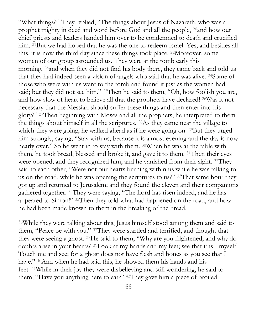"What things?" They replied, "The things about Jesus of Nazareth, who was a prophet mighty in deed and word before God and all the people, <sup>20</sup>and how our chief priests and leaders handed him over to be condemned to death and crucified him. <sup>21</sup>But we had hoped that he was the one to redeem Israel. Yes, and besides all this, it is now the third day since these things took place. <sup>22</sup>Moreover, some women of our group astounded us. They were at the tomb early this morning, <sup>23</sup>and when they did not find his body there, they came back and told us that they had indeed seen a vision of angels who said that he was alive. <sup>24</sup>Some of those who were with us went to the tomb and found it just as the women had said; but they did not see him." <sup>25</sup>Then he said to them, "Oh, how foolish you are, and how slow of heart to believe all that the prophets have declared! <sup>26</sup>Was it not necessary that the Messiah should suffer these things and then enter into his glory?" <sup>27</sup>Then beginning with Moses and all the prophets, he interpreted to them the things about himself in all the scriptures. <sup>28</sup>As they came near the village to which they were going, he walked ahead as if he were going on. <sup>29</sup>But they urged him strongly, saying, "Stay with us, because it is almost evening and the day is now nearly over." So he went in to stay with them. <sup>30</sup>When he was at the table with them, he took bread, blessed and broke it, and gave it to them. <sup>31</sup>Then their eyes were opened, and they recognized him; and he vanished from their sight. <sup>32</sup>They said to each other, "Were not our hearts burning within us while he was talking to us on the road, while he was opening the scriptures to us?" 33That same hour they got up and returned to Jerusalem; and they found the eleven and their companions gathered together. <sup>34</sup>They were saying, "The Lord has risen indeed, and he has appeared to Simon!" <sup>35</sup>Then they told what had happened on the road, and how he had been made known to them in the breaking of the bread.

<sup>36</sup>While they were talking about this, Jesus himself stood among them and said to them, "Peace be with you." <sup>37</sup>They were startled and terrified, and thought that they were seeing a ghost. <sup>38</sup>He said to them, "Why are you frightened, and why do doubts arise in your hearts? <sup>39</sup>Look at my hands and my feet; see that it is I myself. Touch me and see; for a ghost does not have flesh and bones as you see that I have." <sup>40</sup>And when he had said this, he showed them his hands and his feet. <sup>41</sup>While in their joy they were disbelieving and still wondering, he said to them, "Have you anything here to eat?" <sup>42</sup>They gave him a piece of broiled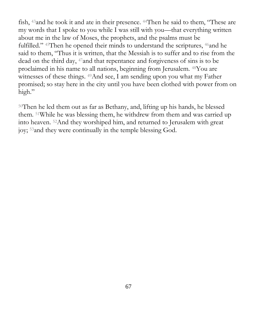fish, <sup>43</sup>and he took it and ate in their presence. <sup>44</sup>Then he said to them, "These are my words that I spoke to you while I was still with you—that everything written about me in the law of Moses, the prophets, and the psalms must be fulfilled." <sup>45</sup>Then he opened their minds to understand the scriptures, <sup>46</sup>and he said to them, "Thus it is written, that the Messiah is to suffer and to rise from the dead on the third day, <sup>47</sup>and that repentance and forgiveness of sins is to be proclaimed in his name to all nations, beginning from Jerusalem. <sup>48</sup>You are witnesses of these things. <sup>49</sup>And see, I am sending upon you what my Father promised; so stay here in the city until you have been clothed with power from on high."

<sup>50</sup>Then he led them out as far as Bethany, and, lifting up his hands, he blessed them. <sup>51</sup>While he was blessing them, he withdrew from them and was carried up into heaven. <sup>52</sup>And they worshiped him, and returned to Jerusalem with great joy; <sup>53</sup>and they were continually in the temple blessing God.